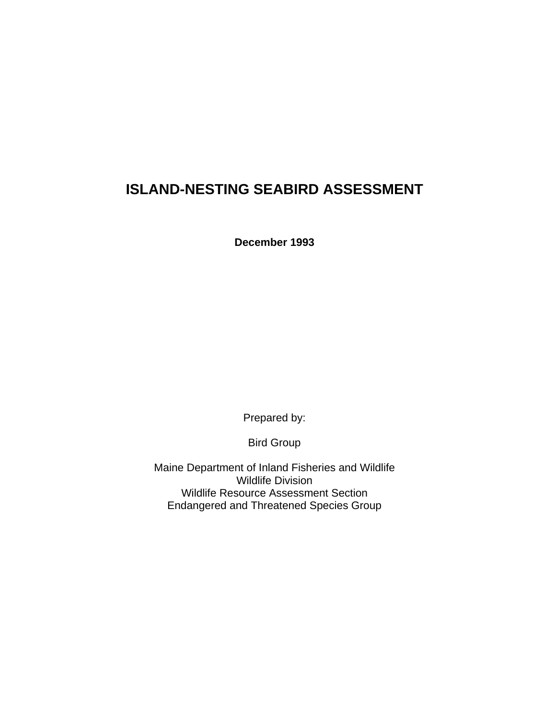# **ISLAND-NESTING SEABIRD ASSESSMENT**

**December 1993**

Prepared by:

Bird Group

Maine Department of Inland Fisheries and Wildlife Wildlife Division Wildlife Resource Assessment Section Endangered and Threatened Species Group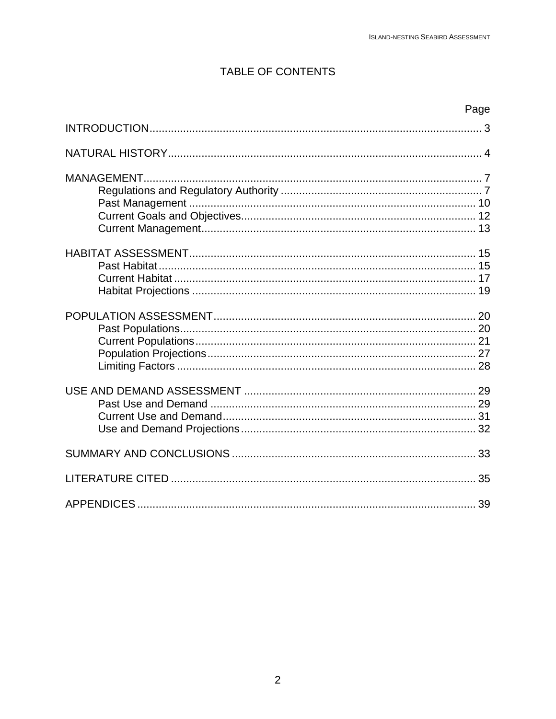# **TABLE OF CONTENTS**

| Page |
|------|
|      |
|      |
|      |
|      |
|      |
|      |
|      |
|      |
|      |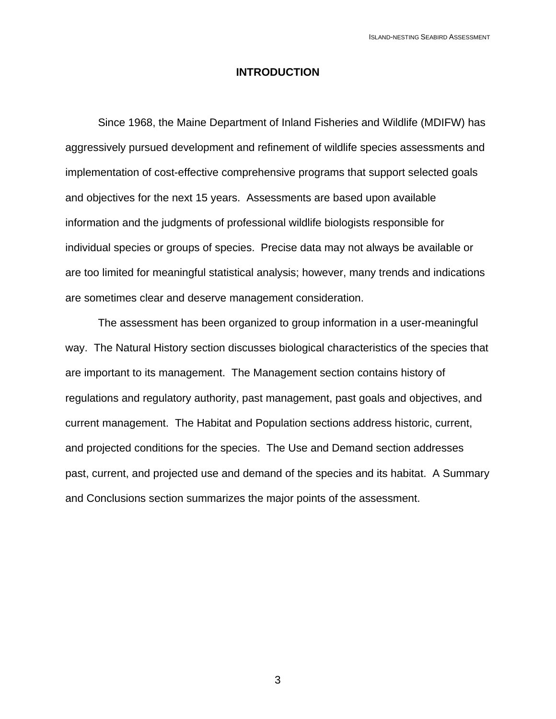#### **INTRODUCTION**

Since 1968, the Maine Department of Inland Fisheries and Wildlife (MDIFW) has aggressively pursued development and refinement of wildlife species assessments and implementation of cost-effective comprehensive programs that support selected goals and objectives for the next 15 years. Assessments are based upon available information and the judgments of professional wildlife biologists responsible for individual species or groups of species. Precise data may not always be available or are too limited for meaningful statistical analysis; however, many trends and indications are sometimes clear and deserve management consideration.

The assessment has been organized to group information in a user-meaningful way. The Natural History section discusses biological characteristics of the species that are important to its management. The Management section contains history of regulations and regulatory authority, past management, past goals and objectives, and current management. The Habitat and Population sections address historic, current, and projected conditions for the species. The Use and Demand section addresses past, current, and projected use and demand of the species and its habitat. A Summary and Conclusions section summarizes the major points of the assessment.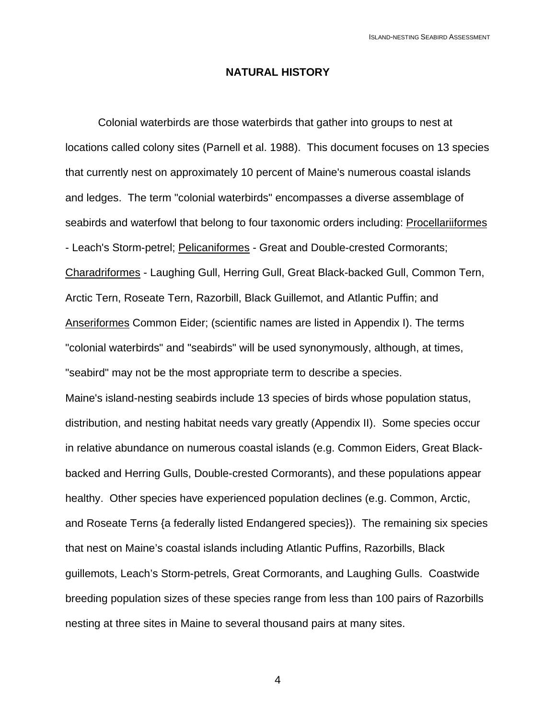#### **NATURAL HISTORY**

Colonial waterbirds are those waterbirds that gather into groups to nest at locations called colony sites (Parnell et al. 1988). This document focuses on 13 species that currently nest on approximately 10 percent of Maine's numerous coastal islands and ledges. The term "colonial waterbirds" encompasses a diverse assemblage of seabirds and waterfowl that belong to four taxonomic orders including: Procellariiformes - Leach's Storm-petrel; Pelicaniformes - Great and Double-crested Cormorants; Charadriformes - Laughing Gull, Herring Gull, Great Black-backed Gull, Common Tern, Arctic Tern, Roseate Tern, Razorbill, Black Guillemot, and Atlantic Puffin; and Anseriformes Common Eider; (scientific names are listed in Appendix I). The terms "colonial waterbirds" and "seabirds" will be used synonymously, although, at times, "seabird" may not be the most appropriate term to describe a species. Maine's island-nesting seabirds include 13 species of birds whose population status, distribution, and nesting habitat needs vary greatly (Appendix II). Some species occur in relative abundance on numerous coastal islands (e.g. Common Eiders, Great Blackbacked and Herring Gulls, Double-crested Cormorants), and these populations appear healthy. Other species have experienced population declines (e.g. Common, Arctic, and Roseate Terns {a federally listed Endangered species}). The remaining six species that nest on Maine's coastal islands including Atlantic Puffins, Razorbills, Black guillemots, Leach's Storm-petrels, Great Cormorants, and Laughing Gulls. Coastwide breeding population sizes of these species range from less than 100 pairs of Razorbills nesting at three sites in Maine to several thousand pairs at many sites.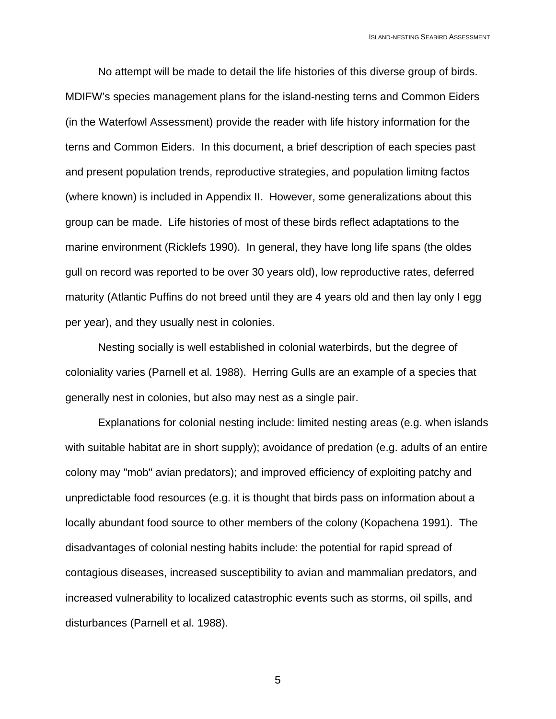No attempt will be made to detail the life histories of this diverse group of birds. MDIFW's species management plans for the island-nesting terns and Common Eiders (in the Waterfowl Assessment) provide the reader with life history information for the terns and Common Eiders. In this document, a brief description of each species past and present population trends, reproductive strategies, and population limitng factos (where known) is included in Appendix II. However, some generalizations about this group can be made. Life histories of most of these birds reflect adaptations to the marine environment (Ricklefs 1990). In general, they have long life spans (the oldes gull on record was reported to be over 30 years old), low reproductive rates, deferred maturity (Atlantic Puffins do not breed until they are 4 years old and then lay only I egg per year), and they usually nest in colonies.

Nesting socially is well established in colonial waterbirds, but the degree of coloniality varies (Parnell et al. 1988). Herring Gulls are an example of a species that generally nest in colonies, but also may nest as a single pair.

Explanations for colonial nesting include: limited nesting areas (e.g. when islands with suitable habitat are in short supply); avoidance of predation (e.g. adults of an entire colony may "mob" avian predators); and improved efficiency of exploiting patchy and unpredictable food resources (e.g. it is thought that birds pass on information about a locally abundant food source to other members of the colony (Kopachena 1991). The disadvantages of colonial nesting habits include: the potential for rapid spread of contagious diseases, increased susceptibility to avian and mammalian predators, and increased vulnerability to localized catastrophic events such as storms, oil spills, and disturbances (Parnell et al. 1988).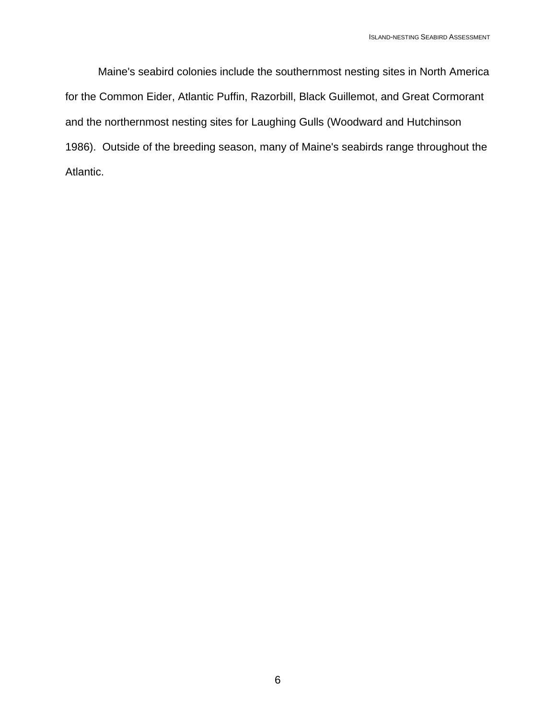Maine's seabird colonies include the southernmost nesting sites in North America for the Common Eider, Atlantic Puffin, Razorbill, Black Guillemot, and Great Cormorant and the northernmost nesting sites for Laughing Gulls (Woodward and Hutchinson 1986). Outside of the breeding season, many of Maine's seabirds range throughout the Atlantic.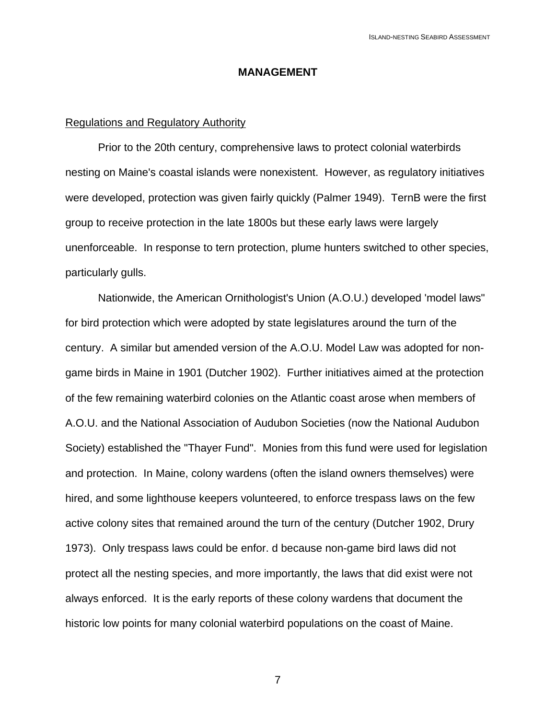#### **MANAGEMENT**

#### Regulations and Regulatory Authority

Prior to the 20th century, comprehensive laws to protect colonial waterbirds nesting on Maine's coastal islands were nonexistent. However, as regulatory initiatives were developed, protection was given fairly quickly (Palmer 1949). TernB were the first group to receive protection in the late 1800s but these early laws were largely unenforceable. In response to tern protection, plume hunters switched to other species, particularly gulls.

Nationwide, the American Ornithologist's Union (A.O.U.) developed 'model laws" for bird protection which were adopted by state legislatures around the turn of the century. A similar but amended version of the A.O.U. Model Law was adopted for nongame birds in Maine in 1901 (Dutcher 1902). Further initiatives aimed at the protection of the few remaining waterbird colonies on the Atlantic coast arose when members of A.O.U. and the National Association of Audubon Societies (now the National Audubon Society) established the "Thayer Fund". Monies from this fund were used for legislation and protection. In Maine, colony wardens (often the island owners themselves) were hired, and some lighthouse keepers volunteered, to enforce trespass laws on the few active colony sites that remained around the turn of the century (Dutcher 1902, Drury 1973). Only trespass laws could be enfor. d because non-game bird laws did not protect all the nesting species, and more importantly, the laws that did exist were not always enforced. It is the early reports of these colony wardens that document the historic low points for many colonial waterbird populations on the coast of Maine.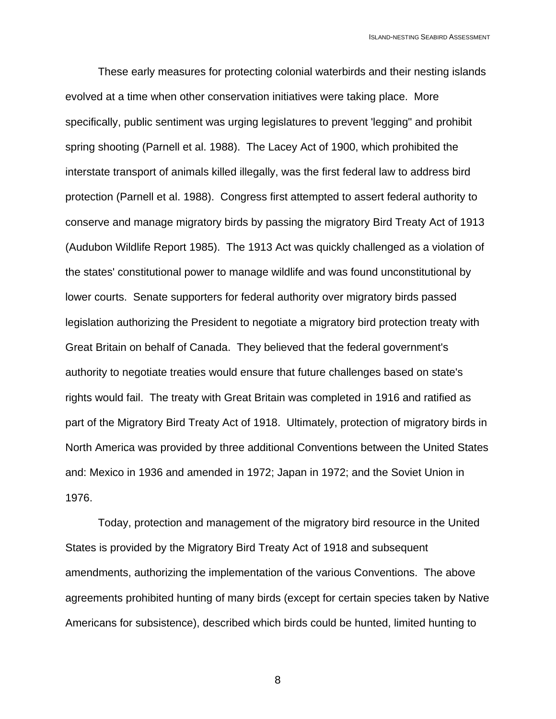These early measures for protecting colonial waterbirds and their nesting islands evolved at a time when other conservation initiatives were taking place. More specifically, public sentiment was urging legislatures to prevent 'legging" and prohibit spring shooting (Parnell et al. 1988). The Lacey Act of 1900, which prohibited the interstate transport of animals killed illegally, was the first federal law to address bird protection (Parnell et al. 1988). Congress first attempted to assert federal authority to conserve and manage migratory birds by passing the migratory Bird Treaty Act of 1913 (Audubon Wildlife Report 1985). The 1913 Act was quickly challenged as a violation of the states' constitutional power to manage wildlife and was found unconstitutional by lower courts. Senate supporters for federal authority over migratory birds passed legislation authorizing the President to negotiate a migratory bird protection treaty with Great Britain on behalf of Canada. They believed that the federal government's authority to negotiate treaties would ensure that future challenges based on state's rights would fail. The treaty with Great Britain was completed in 1916 and ratified as part of the Migratory Bird Treaty Act of 1918. Ultimately, protection of migratory birds in North America was provided by three additional Conventions between the United States and: Mexico in 1936 and amended in 1972; Japan in 1972; and the Soviet Union in 1976.

Today, protection and management of the migratory bird resource in the United States is provided by the Migratory Bird Treaty Act of 1918 and subsequent amendments, authorizing the implementation of the various Conventions. The above agreements prohibited hunting of many birds (except for certain species taken by Native Americans for subsistence), described which birds could be hunted, limited hunting to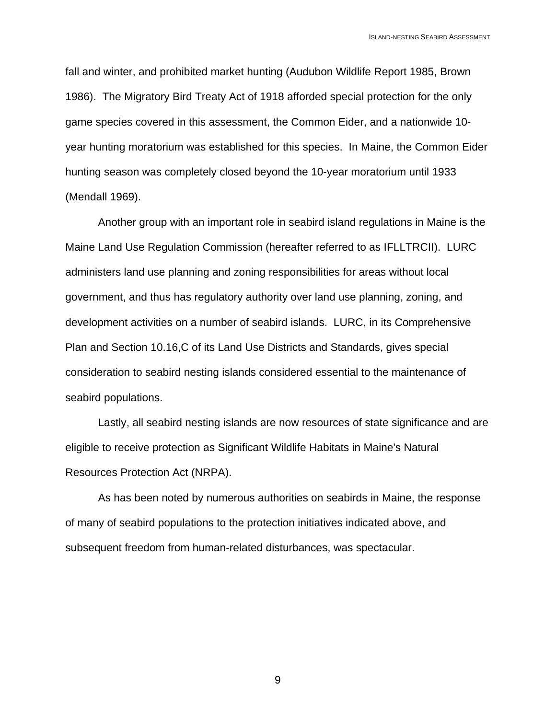fall and winter, and prohibited market hunting (Audubon Wildlife Report 1985, Brown 1986). The Migratory Bird Treaty Act of 1918 afforded special protection for the only game species covered in this assessment, the Common Eider, and a nationwide 10 year hunting moratorium was established for this species. In Maine, the Common Eider hunting season was completely closed beyond the 10-year moratorium until 1933 (Mendall 1969).

Another group with an important role in seabird island regulations in Maine is the Maine Land Use Regulation Commission (hereafter referred to as IFLLTRCII). LURC administers land use planning and zoning responsibilities for areas without local government, and thus has regulatory authority over land use planning, zoning, and development activities on a number of seabird islands. LURC, in its Comprehensive Plan and Section 10.16,C of its Land Use Districts and Standards, gives special consideration to seabird nesting islands considered essential to the maintenance of seabird populations.

Lastly, all seabird nesting islands are now resources of state significance and are eligible to receive protection as Significant Wildlife Habitats in Maine's Natural Resources Protection Act (NRPA).

As has been noted by numerous authorities on seabirds in Maine, the response of many of seabird populations to the protection initiatives indicated above, and subsequent freedom from human-related disturbances, was spectacular.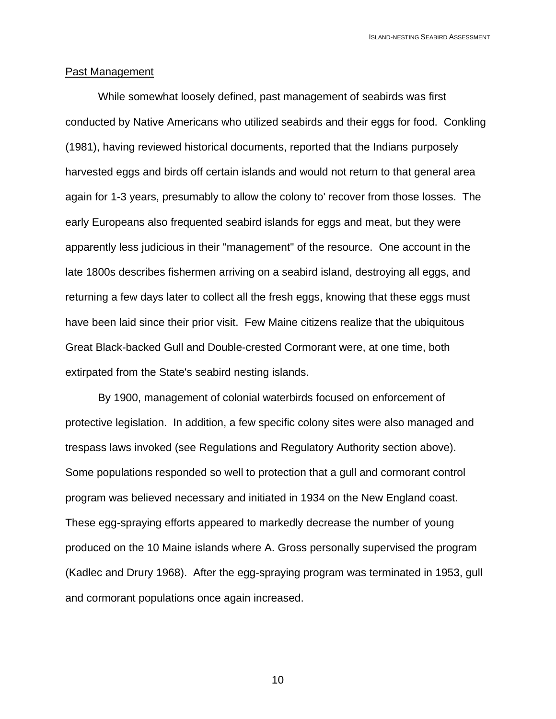#### Past Management

While somewhat loosely defined, past management of seabirds was first conducted by Native Americans who utilized seabirds and their eggs for food. Conkling (1981), having reviewed historical documents, reported that the Indians purposely harvested eggs and birds off certain islands and would not return to that general area again for 1-3 years, presumably to allow the colony to' recover from those losses. The early Europeans also frequented seabird islands for eggs and meat, but they were apparently less judicious in their "management" of the resource. One account in the late 1800s describes fishermen arriving on a seabird island, destroying all eggs, and returning a few days later to collect all the fresh eggs, knowing that these eggs must have been laid since their prior visit. Few Maine citizens realize that the ubiquitous Great Black-backed Gull and Double-crested Cormorant were, at one time, both extirpated from the State's seabird nesting islands.

By 1900, management of colonial waterbirds focused on enforcement of protective legislation. In addition, a few specific colony sites were also managed and trespass laws invoked (see Regulations and Regulatory Authority section above). Some populations responded so well to protection that a gull and cormorant control program was believed necessary and initiated in 1934 on the New England coast. These egg-spraying efforts appeared to markedly decrease the number of young produced on the 10 Maine islands where A. Gross personally supervised the program (Kadlec and Drury 1968). After the egg-spraying program was terminated in 1953, gull and cormorant populations once again increased.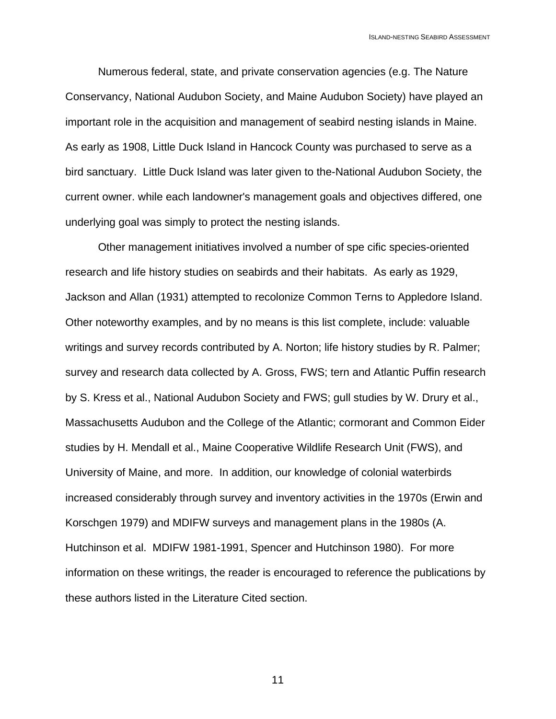Numerous federal, state, and private conservation agencies (e.g. The Nature Conservancy, National Audubon Society, and Maine Audubon Society) have played an important role in the acquisition and management of seabird nesting islands in Maine. As early as 1908, Little Duck Island in Hancock County was purchased to serve as a bird sanctuary. Little Duck Island was later given to the-National Audubon Society, the current owner. while each landowner's management goals and objectives differed, one underlying goal was simply to protect the nesting islands.

Other management initiatives involved a number of spe cific species-oriented research and life history studies on seabirds and their habitats. As early as 1929, Jackson and Allan (1931) attempted to recolonize Common Terns to Appledore Island. Other noteworthy examples, and by no means is this list complete, include: valuable writings and survey records contributed by A. Norton; life history studies by R. Palmer; survey and research data collected by A. Gross, FWS; tern and Atlantic Puffin research by S. Kress et al., National Audubon Society and FWS; gull studies by W. Drury et al., Massachusetts Audubon and the College of the Atlantic; cormorant and Common Eider studies by H. Mendall et al., Maine Cooperative Wildlife Research Unit (FWS), and University of Maine, and more. In addition, our knowledge of colonial waterbirds increased considerably through survey and inventory activities in the 1970s (Erwin and Korschgen 1979) and MDIFW surveys and management plans in the 1980s (A. Hutchinson et al. MDIFW 1981-1991, Spencer and Hutchinson 1980). For more information on these writings, the reader is encouraged to reference the publications by these authors listed in the Literature Cited section.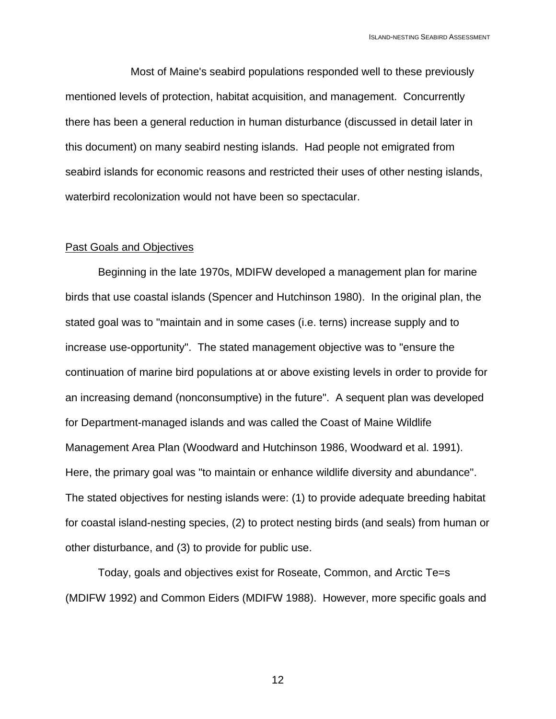Most of Maine's seabird populations responded well to these previously mentioned levels of protection, habitat acquisition, and management. Concurrently there has been a general reduction in human disturbance (discussed in detail later in this document) on many seabird nesting islands. Had people not emigrated from seabird islands for economic reasons and restricted their uses of other nesting islands, waterbird recolonization would not have been so spectacular.

#### Past Goals and Objectives

Beginning in the late 1970s, MDIFW developed a management plan for marine birds that use coastal islands (Spencer and Hutchinson 1980). In the original plan, the stated goal was to "maintain and in some cases (i.e. terns) increase supply and to increase use-opportunity". The stated management objective was to "ensure the continuation of marine bird populations at or above existing levels in order to provide for an increasing demand (nonconsumptive) in the future". A sequent plan was developed for Department-managed islands and was called the Coast of Maine Wildlife Management Area Plan (Woodward and Hutchinson 1986, Woodward et al. 1991). Here, the primary goal was "to maintain or enhance wildlife diversity and abundance". The stated objectives for nesting islands were: (1) to provide adequate breeding habitat for coastal island-nesting species, (2) to protect nesting birds (and seals) from human or other disturbance, and (3) to provide for public use.

Today, goals and objectives exist for Roseate, Common, and Arctic Te=s (MDIFW 1992) and Common Eiders (MDIFW 1988). However, more specific goals and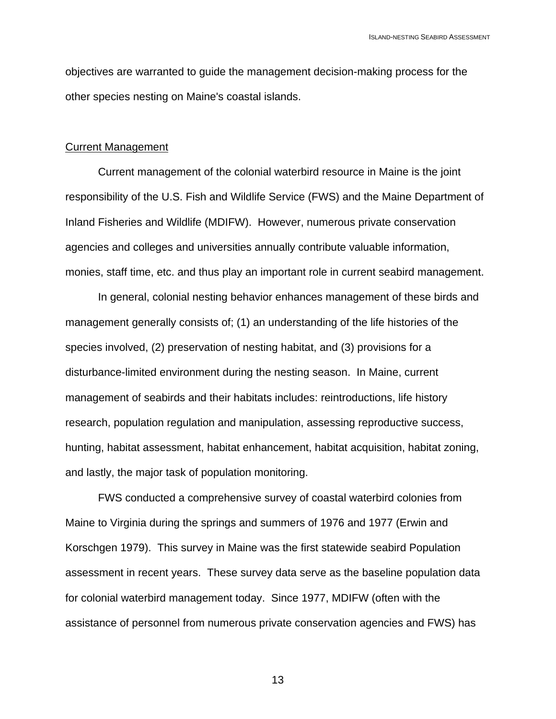objectives are warranted to guide the management decision-making process for the other species nesting on Maine's coastal islands.

#### Current Management

Current management of the colonial waterbird resource in Maine is the joint responsibility of the U.S. Fish and Wildlife Service (FWS) and the Maine Department of Inland Fisheries and Wildlife (MDIFW). However, numerous private conservation agencies and colleges and universities annually contribute valuable information, monies, staff time, etc. and thus play an important role in current seabird management.

In general, colonial nesting behavior enhances management of these birds and management generally consists of; (1) an understanding of the life histories of the species involved, (2) preservation of nesting habitat, and (3) provisions for a disturbance-limited environment during the nesting season. In Maine, current management of seabirds and their habitats includes: reintroductions, life history research, population regulation and manipulation, assessing reproductive success, hunting, habitat assessment, habitat enhancement, habitat acquisition, habitat zoning, and lastly, the major task of population monitoring.

FWS conducted a comprehensive survey of coastal waterbird colonies from Maine to Virginia during the springs and summers of 1976 and 1977 (Erwin and Korschgen 1979). This survey in Maine was the first statewide seabird Population assessment in recent years. These survey data serve as the baseline population data for colonial waterbird management today. Since 1977, MDIFW (often with the assistance of personnel from numerous private conservation agencies and FWS) has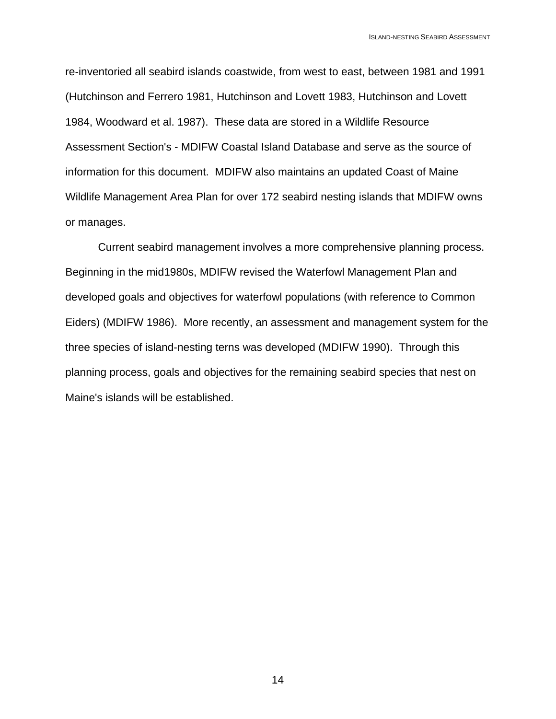re-inventoried all seabird islands coastwide, from west to east, between 1981 and 1991 (Hutchinson and Ferrero 1981, Hutchinson and Lovett 1983, Hutchinson and Lovett 1984, Woodward et al. 1987). These data are stored in a Wildlife Resource Assessment Section's - MDIFW Coastal Island Database and serve as the source of information for this document. MDIFW also maintains an updated Coast of Maine Wildlife Management Area Plan for over 172 seabird nesting islands that MDIFW owns or manages.

Current seabird management involves a more comprehensive planning process. Beginning in the mid1980s, MDIFW revised the Waterfowl Management Plan and developed goals and objectives for waterfowl populations (with reference to Common Eiders) (MDIFW 1986). More recently, an assessment and management system for the three species of island-nesting terns was developed (MDIFW 1990). Through this planning process, goals and objectives for the remaining seabird species that nest on Maine's islands will be established.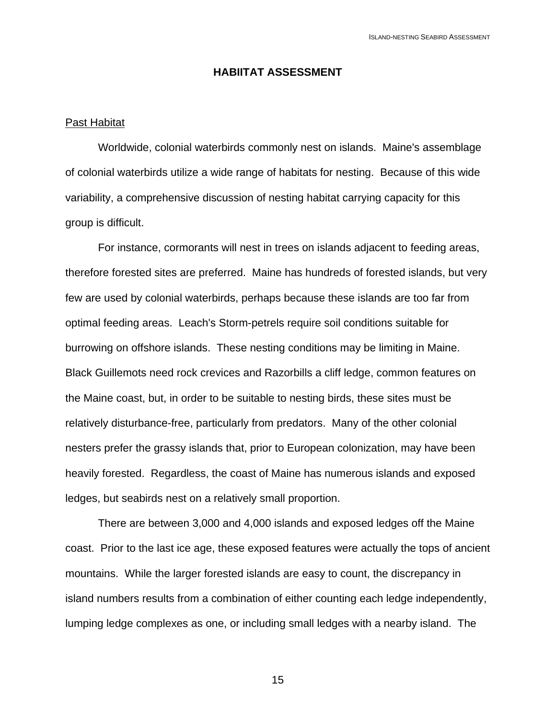#### **HABIITAT ASSESSMENT**

#### Past Habitat

Worldwide, colonial waterbirds commonly nest on islands. Maine's assemblage of colonial waterbirds utilize a wide range of habitats for nesting. Because of this wide variability, a comprehensive discussion of nesting habitat carrying capacity for this group is difficult.

For instance, cormorants will nest in trees on islands adjacent to feeding areas, therefore forested sites are preferred. Maine has hundreds of forested islands, but very few are used by colonial waterbirds, perhaps because these islands are too far from optimal feeding areas. Leach's Storm-petrels require soil conditions suitable for burrowing on offshore islands. These nesting conditions may be limiting in Maine. Black Guillemots need rock crevices and Razorbills a cliff ledge, common features on the Maine coast, but, in order to be suitable to nesting birds, these sites must be relatively disturbance-free, particularly from predators. Many of the other colonial nesters prefer the grassy islands that, prior to European colonization, may have been heavily forested. Regardless, the coast of Maine has numerous islands and exposed ledges, but seabirds nest on a relatively small proportion.

There are between 3,000 and 4,000 islands and exposed ledges off the Maine coast. Prior to the last ice age, these exposed features were actually the tops of ancient mountains. While the larger forested islands are easy to count, the discrepancy in island numbers results from a combination of either counting each ledge independently, lumping ledge complexes as one, or including small ledges with a nearby island. The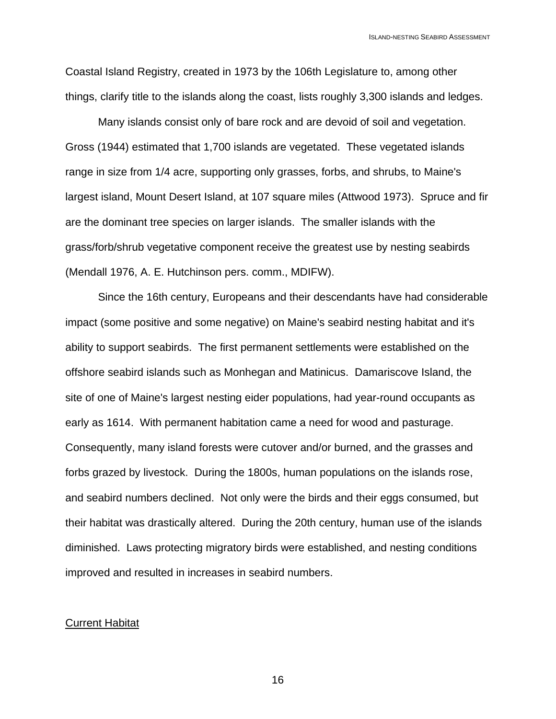Coastal Island Registry, created in 1973 by the 106th Legislature to, among other things, clarify title to the islands along the coast, lists roughly 3,300 islands and ledges.

Many islands consist only of bare rock and are devoid of soil and vegetation. Gross (1944) estimated that 1,700 islands are vegetated. These vegetated islands range in size from 1/4 acre, supporting only grasses, forbs, and shrubs, to Maine's largest island, Mount Desert Island, at 107 square miles (Attwood 1973). Spruce and fir are the dominant tree species on larger islands. The smaller islands with the grass/forb/shrub vegetative component receive the greatest use by nesting seabirds (Mendall 1976, A. E. Hutchinson pers. comm., MDIFW).

Since the 16th century, Europeans and their descendants have had considerable impact (some positive and some negative) on Maine's seabird nesting habitat and it's ability to support seabirds. The first permanent settlements were established on the offshore seabird islands such as Monhegan and Matinicus. Damariscove Island, the site of one of Maine's largest nesting eider populations, had year-round occupants as early as 1614. With permanent habitation came a need for wood and pasturage. Consequently, many island forests were cutover and/or burned, and the grasses and forbs grazed by livestock. During the 1800s, human populations on the islands rose, and seabird numbers declined. Not only were the birds and their eggs consumed, but their habitat was drastically altered. During the 20th century, human use of the islands diminished. Laws protecting migratory birds were established, and nesting conditions improved and resulted in increases in seabird numbers.

#### Current Habitat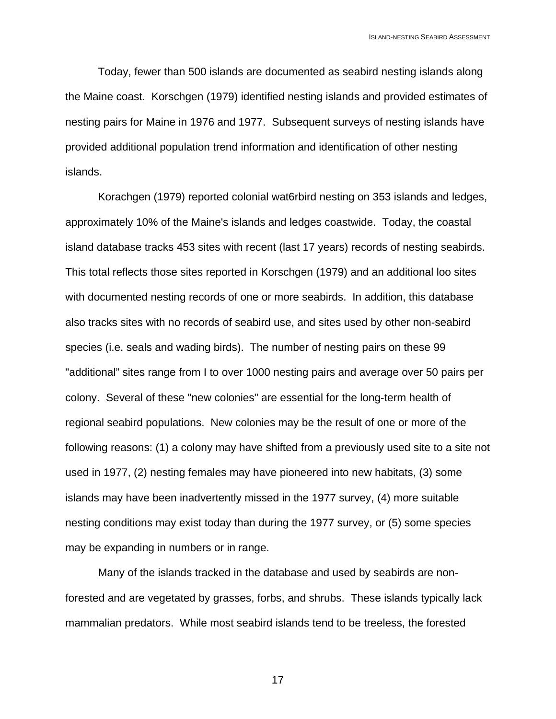Today, fewer than 500 islands are documented as seabird nesting islands along the Maine coast. Korschgen (1979) identified nesting islands and provided estimates of nesting pairs for Maine in 1976 and 1977. Subsequent surveys of nesting islands have provided additional population trend information and identification of other nesting islands.

Korachgen (1979) reported colonial wat6rbird nesting on 353 islands and ledges, approximately 10% of the Maine's islands and ledges coastwide. Today, the coastal island database tracks 453 sites with recent (last 17 years) records of nesting seabirds. This total reflects those sites reported in Korschgen (1979) and an additional loo sites with documented nesting records of one or more seabirds. In addition, this database also tracks sites with no records of seabird use, and sites used by other non-seabird species (i.e. seals and wading birds). The number of nesting pairs on these 99 "additional" sites range from I to over 1000 nesting pairs and average over 50 pairs per colony. Several of these "new colonies" are essential for the long-term health of regional seabird populations. New colonies may be the result of one or more of the following reasons: (1) a colony may have shifted from a previously used site to a site not used in 1977, (2) nesting females may have pioneered into new habitats, (3) some islands may have been inadvertently missed in the 1977 survey, (4) more suitable nesting conditions may exist today than during the 1977 survey, or (5) some species may be expanding in numbers or in range.

Many of the islands tracked in the database and used by seabirds are nonforested and are vegetated by grasses, forbs, and shrubs. These islands typically lack mammalian predators. While most seabird islands tend to be treeless, the forested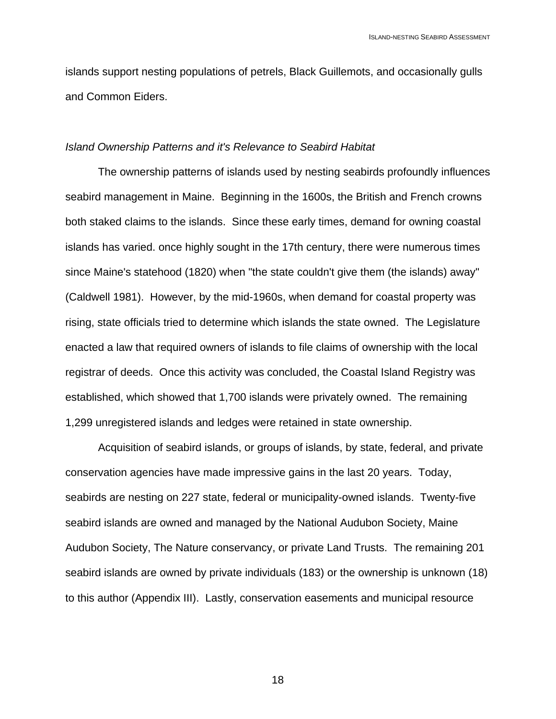islands support nesting populations of petrels, Black Guillemots, and occasionally gulls and Common Eiders.

#### *Island Ownership Patterns and it's Relevance to Seabird Habitat*

The ownership patterns of islands used by nesting seabirds profoundly influences seabird management in Maine. Beginning in the 1600s, the British and French crowns both staked claims to the islands. Since these early times, demand for owning coastal islands has varied. once highly sought in the 17th century, there were numerous times since Maine's statehood (1820) when "the state couldn't give them (the islands) away" (Caldwell 1981). However, by the mid-1960s, when demand for coastal property was rising, state officials tried to determine which islands the state owned. The Legislature enacted a law that required owners of islands to file claims of ownership with the local registrar of deeds. Once this activity was concluded, the Coastal Island Registry was established, which showed that 1,700 islands were privately owned. The remaining 1,299 unregistered islands and ledges were retained in state ownership.

Acquisition of seabird islands, or groups of islands, by state, federal, and private conservation agencies have made impressive gains in the last 20 years. Today, seabirds are nesting on 227 state, federal or municipality-owned islands. Twenty-five seabird islands are owned and managed by the National Audubon Society, Maine Audubon Society, The Nature conservancy, or private Land Trusts. The remaining 201 seabird islands are owned by private individuals (183) or the ownership is unknown (18) to this author (Appendix III). Lastly, conservation easements and municipal resource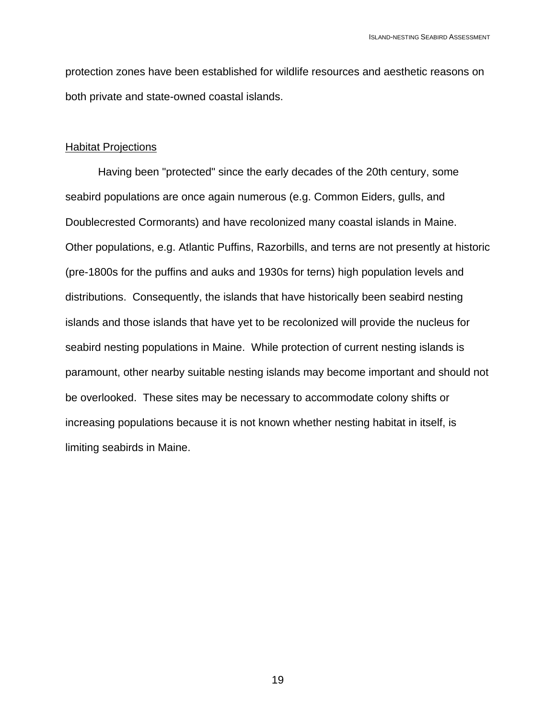protection zones have been established for wildlife resources and aesthetic reasons on both private and state-owned coastal islands.

#### Habitat Projections

Having been "protected" since the early decades of the 20th century, some seabird populations are once again numerous (e.g. Common Eiders, gulls, and Doublecrested Cormorants) and have recolonized many coastal islands in Maine. Other populations, e.g. Atlantic Puffins, Razorbills, and terns are not presently at historic (pre-1800s for the puffins and auks and 1930s for terns) high population levels and distributions. Consequently, the islands that have historically been seabird nesting islands and those islands that have yet to be recolonized will provide the nucleus for seabird nesting populations in Maine. While protection of current nesting islands is paramount, other nearby suitable nesting islands may become important and should not be overlooked. These sites may be necessary to accommodate colony shifts or increasing populations because it is not known whether nesting habitat in itself, is limiting seabirds in Maine.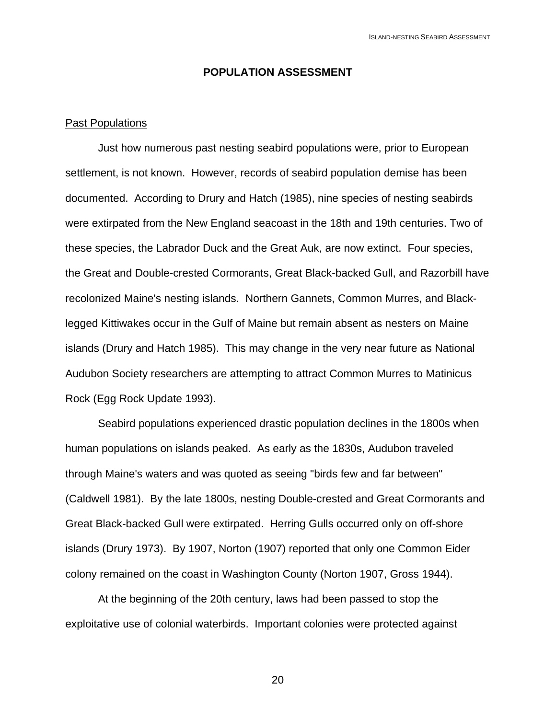#### **POPULATION ASSESSMENT**

#### Past Populations

Just how numerous past nesting seabird populations were, prior to European settlement, is not known. However, records of seabird population demise has been documented. According to Drury and Hatch (1985), nine species of nesting seabirds were extirpated from the New England seacoast in the 18th and 19th centuries. Two of these species, the Labrador Duck and the Great Auk, are now extinct. Four species, the Great and Double-crested Cormorants, Great Black-backed Gull, and Razorbill have recolonized Maine's nesting islands. Northern Gannets, Common Murres, and Blacklegged Kittiwakes occur in the Gulf of Maine but remain absent as nesters on Maine islands (Drury and Hatch 1985). This may change in the very near future as National Audubon Society researchers are attempting to attract Common Murres to Matinicus Rock (Egg Rock Update 1993).

Seabird populations experienced drastic population declines in the 1800s when human populations on islands peaked. As early as the 1830s, Audubon traveled through Maine's waters and was quoted as seeing "birds few and far between" (Caldwell 1981). By the late 1800s, nesting Double-crested and Great Cormorants and Great Black-backed Gull were extirpated. Herring Gulls occurred only on off-shore islands (Drury 1973). By 1907, Norton (1907) reported that only one Common Eider colony remained on the coast in Washington County (Norton 1907, Gross 1944).

At the beginning of the 20th century, laws had been passed to stop the exploitative use of colonial waterbirds. Important colonies were protected against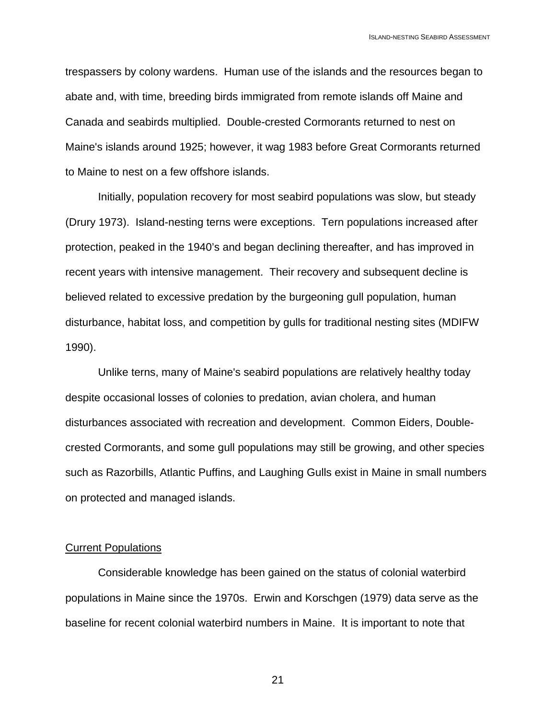trespassers by colony wardens. Human use of the islands and the resources began to abate and, with time, breeding birds immigrated from remote islands off Maine and Canada and seabirds multiplied. Double-crested Cormorants returned to nest on Maine's islands around 1925; however, it wag 1983 before Great Cormorants returned to Maine to nest on a few offshore islands.

Initially, population recovery for most seabird populations was slow, but steady (Drury 1973). Island-nesting terns were exceptions. Tern populations increased after protection, peaked in the 1940's and began declining thereafter, and has improved in recent years with intensive management. Their recovery and subsequent decline is believed related to excessive predation by the burgeoning gull population, human disturbance, habitat loss, and competition by gulls for traditional nesting sites (MDIFW 1990).

Unlike terns, many of Maine's seabird populations are relatively healthy today despite occasional losses of colonies to predation, avian cholera, and human disturbances associated with recreation and development. Common Eiders, Doublecrested Cormorants, and some gull populations may still be growing, and other species such as Razorbills, Atlantic Puffins, and Laughing Gulls exist in Maine in small numbers on protected and managed islands.

#### Current Populations

Considerable knowledge has been gained on the status of colonial waterbird populations in Maine since the 1970s. Erwin and Korschgen (1979) data serve as the baseline for recent colonial waterbird numbers in Maine. It is important to note that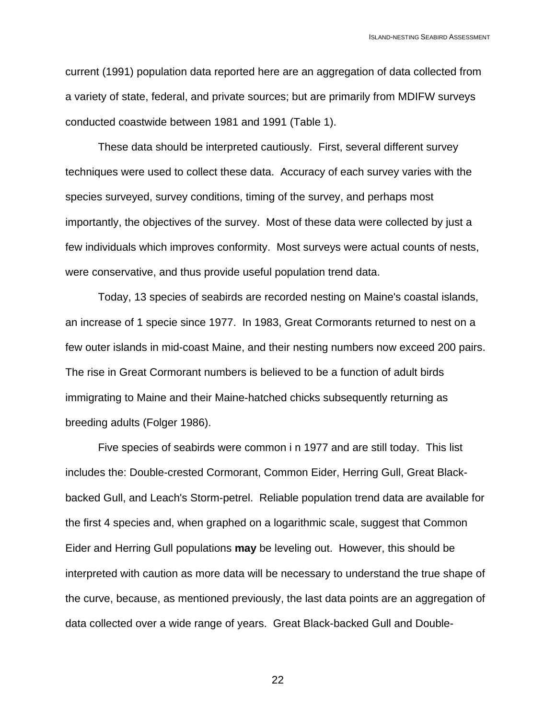current (1991) population data reported here are an aggregation of data collected from a variety of state, federal, and private sources; but are primarily from MDIFW surveys conducted coastwide between 1981 and 1991 (Table 1).

These data should be interpreted cautiously. First, several different survey techniques were used to collect these data. Accuracy of each survey varies with the species surveyed, survey conditions, timing of the survey, and perhaps most importantly, the objectives of the survey. Most of these data were collected by just a few individuals which improves conformity. Most surveys were actual counts of nests, were conservative, and thus provide useful population trend data.

 Today, 13 species of seabirds are recorded nesting on Maine's coastal islands, an increase of 1 specie since 1977. In 1983, Great Cormorants returned to nest on a few outer islands in mid-coast Maine, and their nesting numbers now exceed 200 pairs. The rise in Great Cormorant numbers is believed to be a function of adult birds immigrating to Maine and their Maine-hatched chicks subsequently returning as breeding adults (Folger 1986).

Five species of seabirds were common i n 1977 and are still today. This list includes the: Double-crested Cormorant, Common Eider, Herring Gull, Great Blackbacked Gull, and Leach's Storm-petrel. Reliable population trend data are available for the first 4 species and, when graphed on a logarithmic scale, suggest that Common Eider and Herring Gull populations **may** be leveling out. However, this should be interpreted with caution as more data will be necessary to understand the true shape of the curve, because, as mentioned previously, the last data points are an aggregation of data collected over a wide range of years. Great Black-backed Gull and Double-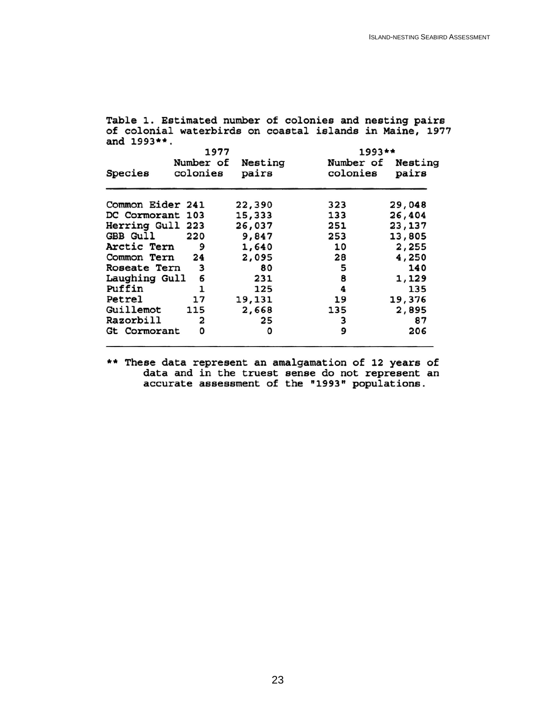Table 1. Estimated number of colonies and nesting pairs of colonial waterbirds on coastal islands in Maine, 1977 and 1993\*\*. 1977  $1993**$ Number of Nesting Number of Nesting Species colonies pairs colonies pairs Common Eider 241 22,390 323 29,048 DC Cormorant 103 15,333 133 26,404 Herring Gull 223 26,037 251 23,137 GBB Gull 220 9,847 253 13,805 Arctic Tern 9 1,640 10 2,255 Common Tern 24 2,095 28 4,250 Roseate Tern 5 140 3 80 Laughing Gull 6 231 8 1,129 Puffin 1 125 4 135 Petrel 17 19,131 19 19,376 Guillemot 115 2,668 135 2,895 Razorbill  $\mathbf{z}$ 25 3 87 Gt Cormorant 0 9 206 0

\*\* These data represent an amalgamation of 12 years of data and in the truest sense do not represent an accurate assessment of the "1993" populations.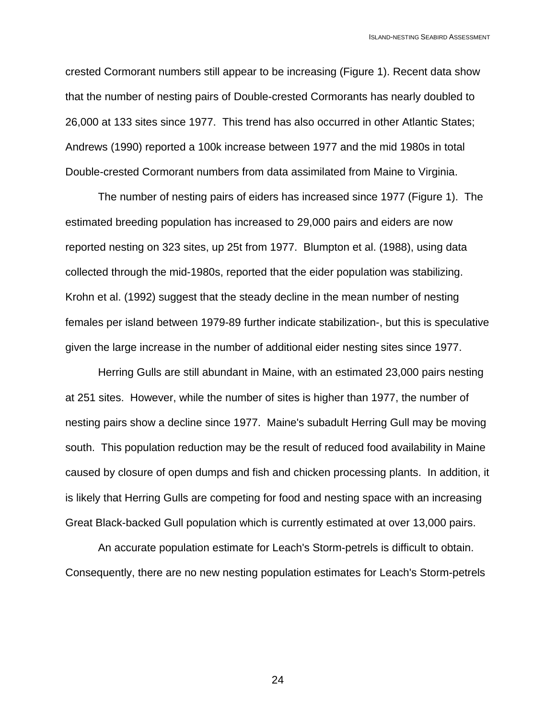crested Cormorant numbers still appear to be increasing (Figure 1). Recent data show that the number of nesting pairs of Double-crested Cormorants has nearly doubled to 26,000 at 133 sites since 1977. This trend has also occurred in other Atlantic States; Andrews (1990) reported a 100k increase between 1977 and the mid 1980s in total Double-crested Cormorant numbers from data assimilated from Maine to Virginia.

The number of nesting pairs of eiders has increased since 1977 (Figure 1). The estimated breeding population has increased to 29,000 pairs and eiders are now reported nesting on 323 sites, up 25t from 1977. Blumpton et al. (1988), using data collected through the mid-1980s, reported that the eider population was stabilizing. Krohn et al. (1992) suggest that the steady decline in the mean number of nesting females per island between 1979-89 further indicate stabilization-, but this is speculative given the large increase in the number of additional eider nesting sites since 1977.

Herring Gulls are still abundant in Maine, with an estimated 23,000 pairs nesting at 251 sites. However, while the number of sites is higher than 1977, the number of nesting pairs show a decline since 1977. Maine's subadult Herring Gull may be moving south. This population reduction may be the result of reduced food availability in Maine caused by closure of open dumps and fish and chicken processing plants. In addition, it is likely that Herring Gulls are competing for food and nesting space with an increasing Great Black-backed Gull population which is currently estimated at over 13,000 pairs.

An accurate population estimate for Leach's Storm-petrels is difficult to obtain. Consequently, there are no new nesting population estimates for Leach's Storm-petrels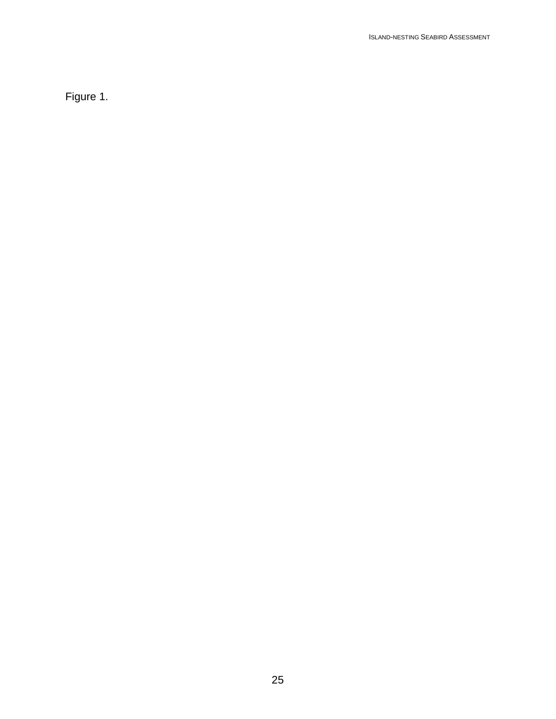Figure 1.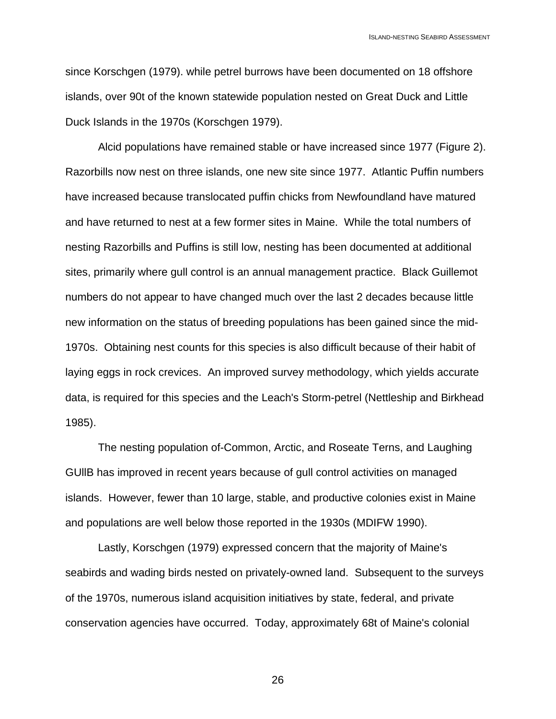since Korschgen (1979). while petrel burrows have been documented on 18 offshore islands, over 90t of the known statewide population nested on Great Duck and Little Duck Islands in the 1970s (Korschgen 1979).

Alcid populations have remained stable or have increased since 1977 (Figure 2). Razorbills now nest on three islands, one new site since 1977. Atlantic Puffin numbers have increased because translocated puffin chicks from Newfoundland have matured and have returned to nest at a few former sites in Maine. While the total numbers of nesting Razorbills and Puffins is still low, nesting has been documented at additional sites, primarily where gull control is an annual management practice. Black Guillemot numbers do not appear to have changed much over the last 2 decades because little new information on the status of breeding populations has been gained since the mid-1970s. Obtaining nest counts for this species is also difficult because of their habit of laying eggs in rock crevices. An improved survey methodology, which yields accurate data, is required for this species and the Leach's Storm-petrel (Nettleship and Birkhead 1985).

The nesting population of-Common, Arctic, and Roseate Terns, and Laughing GUllB has improved in recent years because of gull control activities on managed islands. However, fewer than 10 large, stable, and productive colonies exist in Maine and populations are well below those reported in the 1930s (MDIFW 1990).

Lastly, Korschgen (1979) expressed concern that the majority of Maine's seabirds and wading birds nested on privately-owned land. Subsequent to the surveys of the 1970s, numerous island acquisition initiatives by state, federal, and private conservation agencies have occurred. Today, approximately 68t of Maine's colonial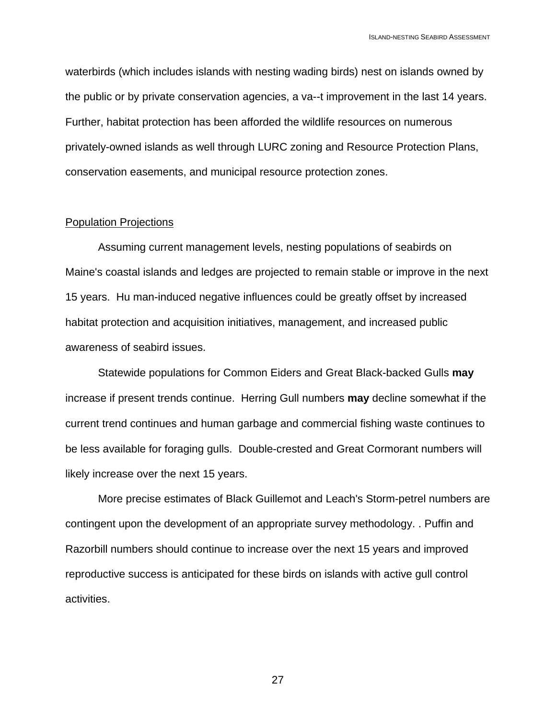waterbirds (which includes islands with nesting wading birds) nest on islands owned by the public or by private conservation agencies, a va--t improvement in the last 14 years. Further, habitat protection has been afforded the wildlife resources on numerous privately-owned islands as well through LURC zoning and Resource Protection Plans, conservation easements, and municipal resource protection zones.

#### Population Projections

Assuming current management levels, nesting populations of seabirds on Maine's coastal islands and ledges are projected to remain stable or improve in the next 15 years. Hu man-induced negative influences could be greatly offset by increased habitat protection and acquisition initiatives, management, and increased public awareness of seabird issues.

Statewide populations for Common Eiders and Great Black-backed Gulls **may**  increase if present trends continue. Herring Gull numbers **may** decline somewhat if the current trend continues and human garbage and commercial fishing waste continues to be less available for foraging gulls. Double-crested and Great Cormorant numbers will likely increase over the next 15 years.

More precise estimates of Black Guillemot and Leach's Storm-petrel numbers are contingent upon the development of an appropriate survey methodology. . Puffin and Razorbill numbers should continue to increase over the next 15 years and improved reproductive success is anticipated for these birds on islands with active gull control activities.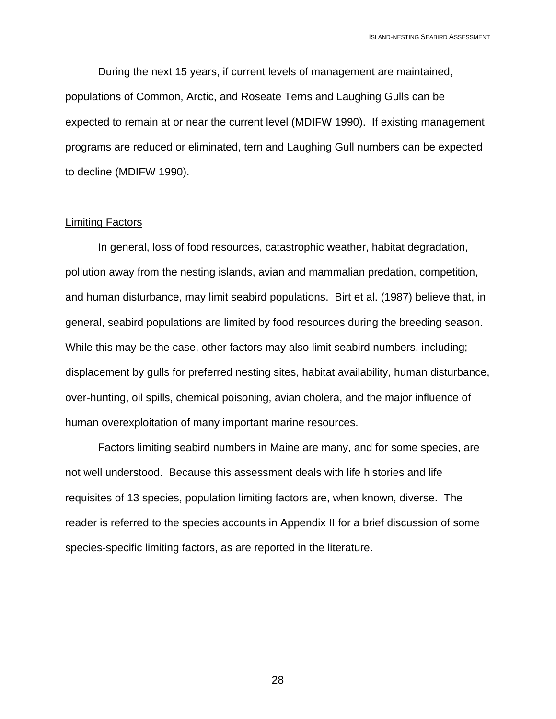During the next 15 years, if current levels of management are maintained, populations of Common, Arctic, and Roseate Terns and Laughing Gulls can be expected to remain at or near the current level (MDIFW 1990). If existing management programs are reduced or eliminated, tern and Laughing Gull numbers can be expected to decline (MDIFW 1990).

#### Limiting Factors

In general, loss of food resources, catastrophic weather, habitat degradation, pollution away from the nesting islands, avian and mammalian predation, competition, and human disturbance, may limit seabird populations. Birt et al. (1987) believe that, in general, seabird populations are limited by food resources during the breeding season. While this may be the case, other factors may also limit seabird numbers, including; displacement by gulls for preferred nesting sites, habitat availability, human disturbance, over-hunting, oil spills, chemical poisoning, avian cholera, and the major influence of human overexploitation of many important marine resources.

Factors limiting seabird numbers in Maine are many, and for some species, are not well understood. Because this assessment deals with life histories and life requisites of 13 species, population limiting factors are, when known, diverse. The reader is referred to the species accounts in Appendix II for a brief discussion of some species-specific limiting factors, as are reported in the literature.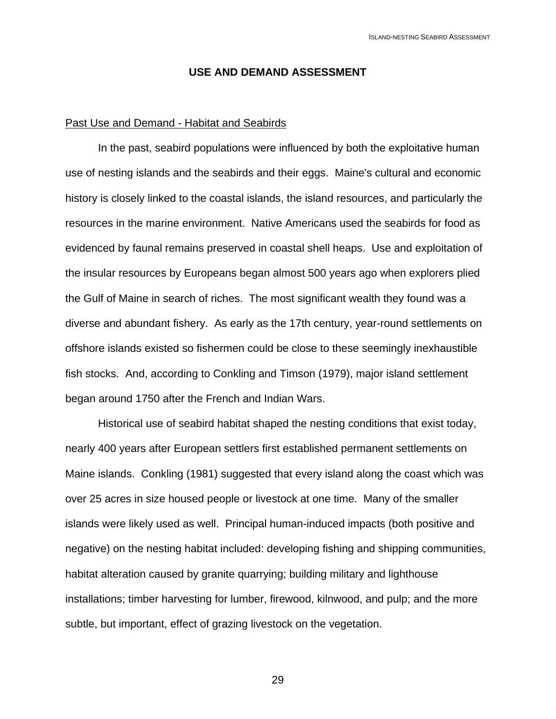#### **USE AND DEMAND ASSESSMENT**

#### Past Use and Demand - Habitat and Seabirds

In the past, seabird populations were influenced by both the exploitative human use of nesting islands and the seabirds and their eggs. Maine's cultural and economic history is closely linked to the coastal islands, the island resources, and particularly the resources in the marine environment. Native Americans used the seabirds for food as evidenced by faunal remains preserved in coastal shell heaps. Use and exploitation of the insular resources by Europeans began almost 500 years ago when explorers plied the Gulf of Maine in search of riches. The most significant wealth they found was a diverse and abundant fishery. As early as the 17th century, year-round settlements on offshore islands existed so fishermen could be close to these seemingly inexhaustible fish stocks. And, according to Conkling and Timson (1979), major island settlement began around 1750 after the French and Indian Wars.

Historical use of seabird habitat shaped the nesting conditions that exist today, nearly 400 years after European settlers first established permanent settlements on Maine islands. Conkling (1981) suggested that every island along the coast which was over 25 acres in size housed people or livestock at one time. Many of the smaller islands were likely used as well. Principal human-induced impacts (both positive and negative) on the nesting habitat included: developing fishing and shipping communities, habitat alteration caused by granite quarrying; building military and lighthouse installations; timber harvesting for lumber, firewood, kilnwood, and pulp; and the more subtle, but important, effect of grazing livestock on the vegetation.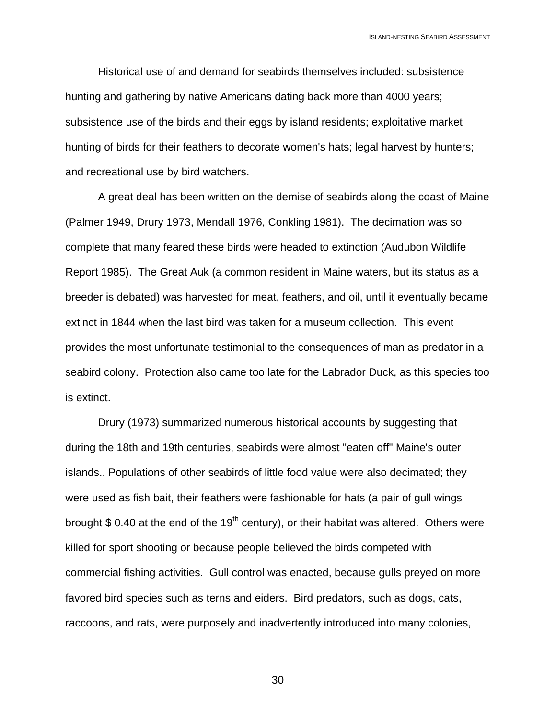Historical use of and demand for seabirds themselves included: subsistence hunting and gathering by native Americans dating back more than 4000 years; subsistence use of the birds and their eggs by island residents; exploitative market hunting of birds for their feathers to decorate women's hats; legal harvest by hunters; and recreational use by bird watchers.

A great deal has been written on the demise of seabirds along the coast of Maine (Palmer 1949, Drury 1973, Mendall 1976, Conkling 1981). The decimation was so complete that many feared these birds were headed to extinction (Audubon Wildlife Report 1985). The Great Auk (a common resident in Maine waters, but its status as a breeder is debated) was harvested for meat, feathers, and oil, until it eventually became extinct in 1844 when the last bird was taken for a museum collection. This event provides the most unfortunate testimonial to the consequences of man as predator in a seabird colony. Protection also came too late for the Labrador Duck, as this species too is extinct.

Drury (1973) summarized numerous historical accounts by suggesting that during the 18th and 19th centuries, seabirds were almost "eaten off" Maine's outer islands.. Populations of other seabirds of little food value were also decimated; they were used as fish bait, their feathers were fashionable for hats (a pair of gull wings brought  $$ 0.40$  at the end of the 19<sup>th</sup> century), or their habitat was altered. Others were killed for sport shooting or because people believed the birds competed with commercial fishing activities. Gull control was enacted, because gulls preyed on more favored bird species such as terns and eiders. Bird predators, such as dogs, cats, raccoons, and rats, were purposely and inadvertently introduced into many colonies,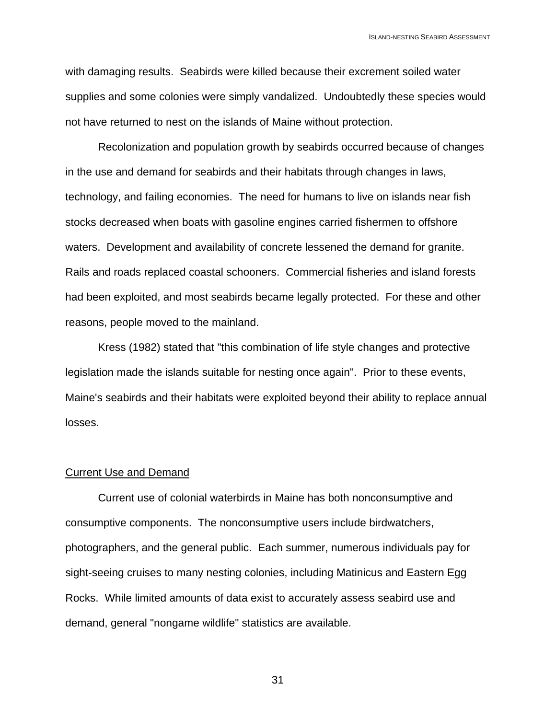with damaging results. Seabirds were killed because their excrement soiled water supplies and some colonies were simply vandalized. Undoubtedly these species would not have returned to nest on the islands of Maine without protection.

Recolonization and population growth by seabirds occurred because of changes in the use and demand for seabirds and their habitats through changes in laws, technology, and failing economies. The need for humans to live on islands near fish stocks decreased when boats with gasoline engines carried fishermen to offshore waters. Development and availability of concrete lessened the demand for granite. Rails and roads replaced coastal schooners. Commercial fisheries and island forests had been exploited, and most seabirds became legally protected. For these and other reasons, people moved to the mainland.

Kress (1982) stated that "this combination of life style changes and protective legislation made the islands suitable for nesting once again". Prior to these events, Maine's seabirds and their habitats were exploited beyond their ability to replace annual losses.

#### Current Use and Demand

Current use of colonial waterbirds in Maine has both nonconsumptive and consumptive components. The nonconsumptive users include birdwatchers, photographers, and the general public. Each summer, numerous individuals pay for sight-seeing cruises to many nesting colonies, including Matinicus and Eastern Egg Rocks. While limited amounts of data exist to accurately assess seabird use and demand, general "nongame wildlife" statistics are available.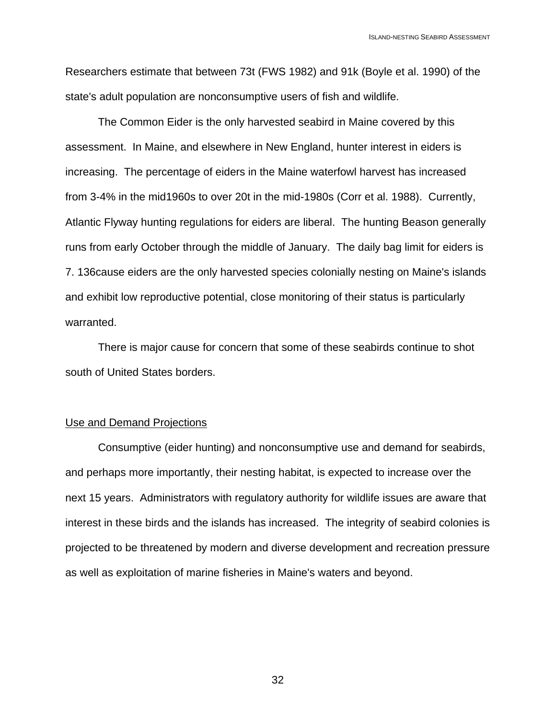Researchers estimate that between 73t (FWS 1982) and 91k (Boyle et al. 1990) of the state's adult population are nonconsumptive users of fish and wildlife.

The Common Eider is the only harvested seabird in Maine covered by this assessment. In Maine, and elsewhere in New England, hunter interest in eiders is increasing. The percentage of eiders in the Maine waterfowl harvest has increased from 3-4% in the mid1960s to over 20t in the mid-1980s (Corr et al. 1988). Currently, Atlantic Flyway hunting regulations for eiders are liberal. The hunting Beason generally runs from early October through the middle of January. The daily bag limit for eiders is 7. 136cause eiders are the only harvested species colonially nesting on Maine's islands and exhibit low reproductive potential, close monitoring of their status is particularly warranted.

There is major cause for concern that some of these seabirds continue to shot south of United States borders.

#### Use and Demand Projections

Consumptive (eider hunting) and nonconsumptive use and demand for seabirds, and perhaps more importantly, their nesting habitat, is expected to increase over the next 15 years. Administrators with regulatory authority for wildlife issues are aware that interest in these birds and the islands has increased. The integrity of seabird colonies is projected to be threatened by modern and diverse development and recreation pressure as well as exploitation of marine fisheries in Maine's waters and beyond.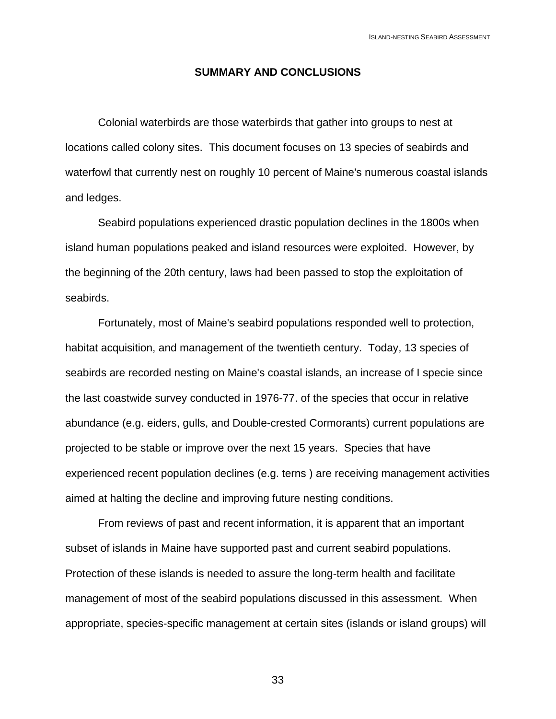#### **SUMMARY AND CONCLUSIONS**

Colonial waterbirds are those waterbirds that gather into groups to nest at locations called colony sites. This document focuses on 13 species of seabirds and waterfowl that currently nest on roughly 10 percent of Maine's numerous coastal islands and ledges.

Seabird populations experienced drastic population declines in the 1800s when island human populations peaked and island resources were exploited. However, by the beginning of the 20th century, laws had been passed to stop the exploitation of seabirds.

Fortunately, most of Maine's seabird populations responded well to protection, habitat acquisition, and management of the twentieth century. Today, 13 species of seabirds are recorded nesting on Maine's coastal islands, an increase of I specie since the last coastwide survey conducted in 1976-77. of the species that occur in relative abundance (e.g. eiders, gulls, and Double-crested Cormorants) current populations are projected to be stable or improve over the next 15 years. Species that have experienced recent population declines (e.g. terns ) are receiving management activities aimed at halting the decline and improving future nesting conditions.

From reviews of past and recent information, it is apparent that an important subset of islands in Maine have supported past and current seabird populations. Protection of these islands is needed to assure the long-term health and facilitate management of most of the seabird populations discussed in this assessment. When appropriate, species-specific management at certain sites (islands or island groups) will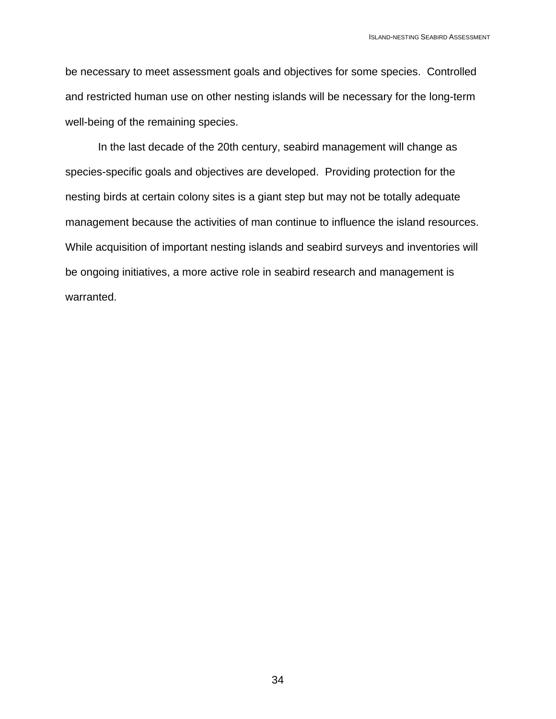be necessary to meet assessment goals and objectives for some species. Controlled and restricted human use on other nesting islands will be necessary for the long-term well-being of the remaining species.

In the last decade of the 20th century, seabird management will change as species-specific goals and objectives are developed. Providing protection for the nesting birds at certain colony sites is a giant step but may not be totally adequate management because the activities of man continue to influence the island resources. While acquisition of important nesting islands and seabird surveys and inventories will be ongoing initiatives, a more active role in seabird research and management is warranted.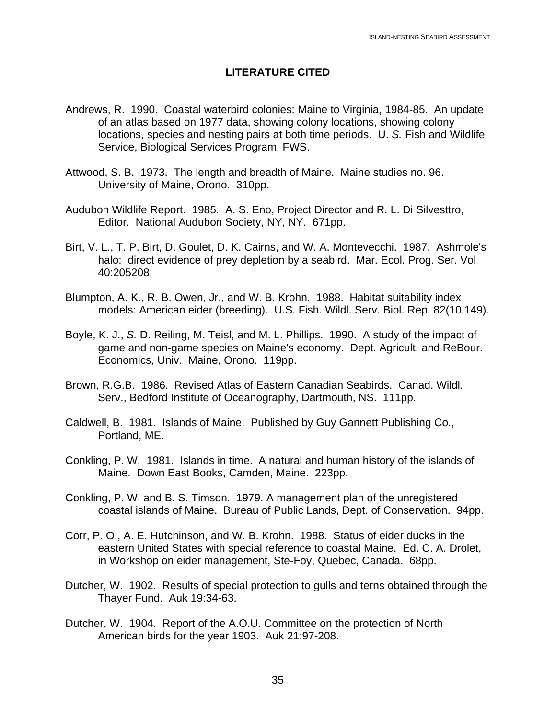### **LITERATURE CITED**

- Andrews, R. 1990. Coastal waterbird colonies: Maine to Virginia, 1984-85. An update of an atlas based on 1977 data, showing colony locations, showing colony locations, species and nesting pairs at both time periods. U. *S.* Fish and Wildlife Service, Biological Services Program, FWS.
- Attwood, S. B. 1973. The length and breadth of Maine. Maine studies no. 96. University of Maine, Orono. 310pp.
- Audubon Wildlife Report. 1985. A. S. Eno, Project Director and R. L. Di Silvesttro, Editor. National Audubon Society, NY, NY. 671pp.
- Birt, V. L., T. P. Birt, D. Goulet, D. K. Cairns, and W. A. Montevecchi. 1987. Ashmole's halo: direct evidence of prey depletion by a seabird. Mar. Ecol. Prog. Ser. Vol 40:205208.
- Blumpton, A. K., R. B. Owen, Jr., and W. B. Krohn. 1988. Habitat suitability index models: American eider (breeding). U.S. Fish. Wildl. Serv. Biol. Rep. 82(10.149).
- Boyle, K. J., *S.* D. Reiling, M. Teisl, and M. L. Phillips. 1990. A study of the impact of game and non-game species on Maine's economy. Dept. Agricult. and ReBour. Economics, Univ. Maine, Orono. 119pp.
- Brown, R.G.B. 1986. Revised Atlas of Eastern Canadian Seabirds. Canad. Wildl. Serv., Bedford Institute of Oceanography, Dartmouth, NS. 111pp.
- Caldwell, B. 1981. Islands of Maine. Published by Guy Gannett Publishing Co., Portland, ME.
- Conkling, P. W. 1981. Islands in time. A natural and human history of the islands of Maine. Down East Books, Camden, Maine. 223pp.
- Conkling, P. W. and B. S. Timson. 1979. A management plan of the unregistered coastal islands of Maine. Bureau of Public Lands, Dept. of Conservation. 94pp.
- Corr, P. O., A. E. Hutchinson, and W. B. Krohn. 1988. Status of eider ducks in the eastern United States with special reference to coastal Maine. Ed. C. A. Drolet, in Workshop on eider management, Ste-Foy, Quebec, Canada. 68pp.
- Dutcher, W. 1902. Results of special protection to gulls and terns obtained through the Thayer Fund. Auk 19:34-63.
- Dutcher, W. 1904. Report of the A.O.U. Committee on the protection of North American birds for the year 1903. Auk 21:97-208.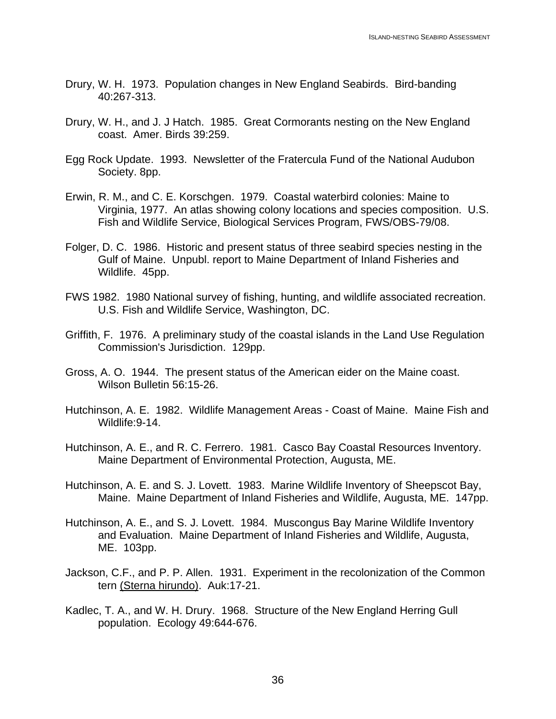- Drury, W. H. 1973. Population changes in New England Seabirds. Bird-banding 40:267-313.
- Drury, W. H., and J. J Hatch. 1985. Great Cormorants nesting on the New England coast. Amer. Birds 39:259.
- Egg Rock Update. 1993. Newsletter of the Fratercula Fund of the National Audubon Society. 8pp.
- Erwin, R. M., and C. E. Korschgen. 1979. Coastal waterbird colonies: Maine to Virginia, 1977. An atlas showing colony locations and species composition. U.S. Fish and Wildlife Service, Biological Services Program, FWS/OBS-79/08.
- Folger, D. C. 1986. Historic and present status of three seabird species nesting in the Gulf of Maine. Unpubl. report to Maine Department of Inland Fisheries and Wildlife. 45pp.
- FWS 1982. 1980 National survey of fishing, hunting, and wildlife associated recreation. U.S. Fish and Wildlife Service, Washington, DC.
- Griffith, F. 1976. A preliminary study of the coastal islands in the Land Use Regulation Commission's Jurisdiction. 129pp.
- Gross, A. O. 1944. The present status of the American eider on the Maine coast. Wilson Bulletin 56:15-26.
- Hutchinson, A. E. 1982. Wildlife Management Areas Coast of Maine. Maine Fish and Wildlife:9-14.
- Hutchinson, A. E., and R. C. Ferrero. 1981. Casco Bay Coastal Resources Inventory. Maine Department of Environmental Protection, Augusta, ME.
- Hutchinson, A. E. and S. J. Lovett. 1983. Marine Wildlife Inventory of Sheepscot Bay, Maine. Maine Department of Inland Fisheries and Wildlife, Augusta, ME. 147pp.
- Hutchinson, A. E., and S. J. Lovett. 1984. Muscongus Bay Marine Wildlife Inventory and Evaluation. Maine Department of Inland Fisheries and Wildlife, Augusta, ME. 103pp.
- Jackson, C.F., and P. P. Allen. 1931. Experiment in the recolonization of the Common tern (Sterna hirundo). Auk:17-21.
- Kadlec, T. A., and W. H. Drury. 1968. Structure of the New England Herring Gull population. Ecology 49:644-676.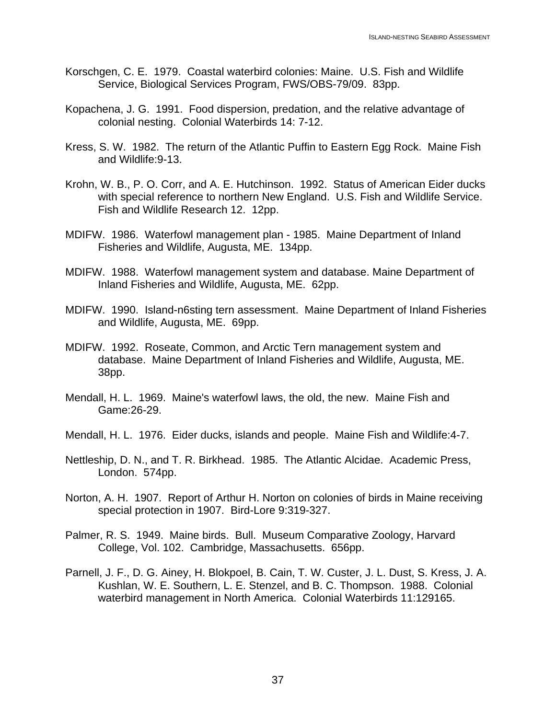- Korschgen, C. E. 1979. Coastal waterbird colonies: Maine. U.S. Fish and Wildlife Service, Biological Services Program, FWS/OBS-79/09. 83pp.
- Kopachena, J. G. 1991. Food dispersion, predation, and the relative advantage of colonial nesting. Colonial Waterbirds 14: 7-12.
- Kress, S. W. 1982. The return of the Atlantic Puffin to Eastern Egg Rock. Maine Fish and Wildlife:9-13.
- Krohn, W. B., P. O. Corr, and A. E. Hutchinson. 1992. Status of American Eider ducks with special reference to northern New England. U.S. Fish and Wildlife Service. Fish and Wildlife Research 12. 12pp.
- MDIFW. 1986. Waterfowl management plan 1985. Maine Department of Inland Fisheries and Wildlife, Augusta, ME. 134pp.
- MDIFW. 1988. Waterfowl management system and database. Maine Department of Inland Fisheries and Wildlife, Augusta, ME. 62pp.
- MDIFW. 1990. Island-n6sting tern assessment. Maine Department of Inland Fisheries and Wildlife, Augusta, ME. 69pp.
- MDIFW. 1992. Roseate, Common, and Arctic Tern management system and database. Maine Department of Inland Fisheries and Wildlife, Augusta, ME. 38pp.
- Mendall, H. L. 1969. Maine's waterfowl laws, the old, the new. Maine Fish and Game:26-29.
- Mendall, H. L. 1976. Eider ducks, islands and people. Maine Fish and Wildlife:4-7.
- Nettleship, D. N., and T. R. Birkhead. 1985. The Atlantic Alcidae. Academic Press, London. 574pp.
- Norton, A. H. 1907. Report of Arthur H. Norton on colonies of birds in Maine receiving special protection in 1907. Bird-Lore 9:319-327.
- Palmer, R. S. 1949. Maine birds. Bull. Museum Comparative Zoology, Harvard College, Vol. 102. Cambridge, Massachusetts. 656pp.
- Parnell, J. F., D. G. Ainey, H. Blokpoel, B. Cain, T. W. Custer, J. L. Dust, S. Kress, J. A. Kushlan, W. E. Southern, L. E. Stenzel, and B. C. Thompson. 1988. Colonial waterbird management in North America. Colonial Waterbirds 11:129165.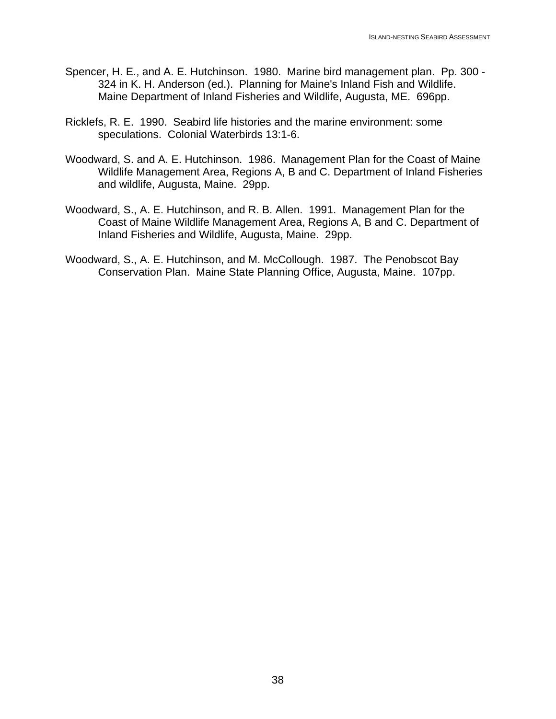- Spencer, H. E., and A. E. Hutchinson. 1980. Marine bird management plan. Pp. 300 324 in K. H. Anderson (ed.). Planning for Maine's Inland Fish and Wildlife. Maine Department of Inland Fisheries and Wildlife, Augusta, ME. 696pp.
- Ricklefs, R. E. 1990. Seabird life histories and the marine environment: some speculations. Colonial Waterbirds 13:1-6.
- Woodward, S. and A. E. Hutchinson. 1986. Management Plan for the Coast of Maine Wildlife Management Area, Regions A, B and C. Department of Inland Fisheries and wildlife, Augusta, Maine. 29pp.
- Woodward, S., A. E. Hutchinson, and R. B. Allen. 1991. Management Plan for the Coast of Maine Wildlife Management Area, Regions A, B and C. Department of Inland Fisheries and Wildlife, Augusta, Maine. 29pp.
- Woodward, S., A. E. Hutchinson, and M. McCollough. 1987. The Penobscot Bay Conservation Plan. Maine State Planning Office, Augusta, Maine. 107pp.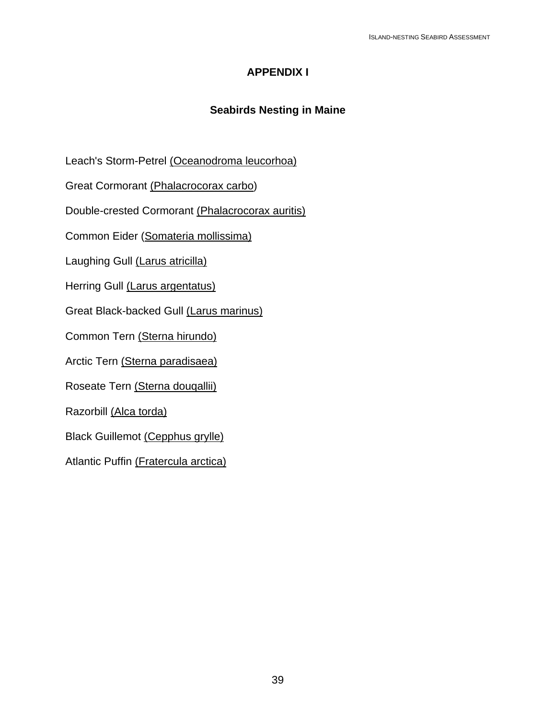# **APPENDIX I**

### **Seabirds Nesting in Maine**

Leach's Storm-Petrel (Oceanodroma leucorhoa)

Great Cormorant (Phalacrocorax carbo)

Double-crested Cormorant (Phalacrocorax auritis)

Common Eider (Somateria mollissima)

Laughing Gull (Larus atricilla)

Herring Gull (Larus argentatus)

Great Black-backed Gull (Larus marinus)

Common Tern (Sterna hirundo)

Arctic Tern (Sterna paradisaea)

Roseate Tern (Sterna douqallii)

Razorbill (Alca torda)

Black Guillemot (Cepphus grylle)

Atlantic Puffin (Fratercula arctica)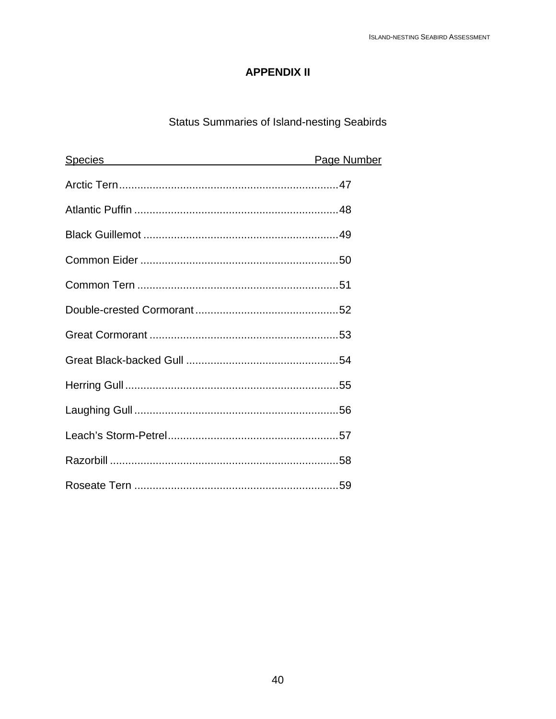# **APPENDIX II**

# Status Summaries of Island-nesting Seabirds

| <b>Species</b> | Page Number |
|----------------|-------------|
|                |             |
|                |             |
|                |             |
|                |             |
|                |             |
|                |             |
|                |             |
|                |             |
|                |             |
|                |             |
|                |             |
|                |             |
|                |             |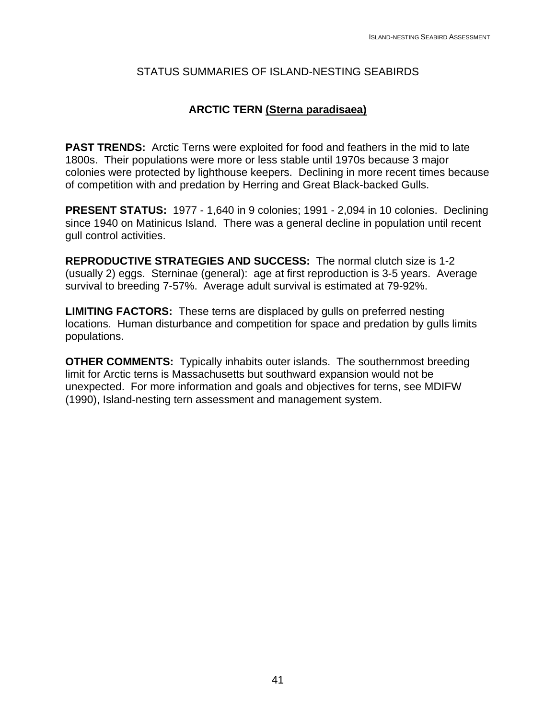### **ARCTIC TERN (Sterna paradisaea)**

**PAST TRENDS:** Arctic Terns were exploited for food and feathers in the mid to late 1800s. Their populations were more or less stable until 1970s because 3 major colonies were protected by lighthouse keepers. Declining in more recent times because of competition with and predation by Herring and Great Black-backed Gulls.

**PRESENT STATUS:** 1977 - 1,640 in 9 colonies; 1991 - 2,094 in 10 colonies. Declining since 1940 on Matinicus Island. There was a general decline in population until recent gull control activities.

**REPRODUCTIVE STRATEGIES AND SUCCESS:** The normal clutch size is 1-2 (usually 2) eggs. Sterninae (general): age at first reproduction is 3-5 years. Average survival to breeding 7-57%. Average adult survival is estimated at 79-92%.

**LIMITING FACTORS:** These terns are displaced by gulls on preferred nesting locations. Human disturbance and competition for space and predation by gulls limits populations.

**OTHER COMMENTS:** Typically inhabits outer islands. The southernmost breeding limit for Arctic terns is Massachusetts but southward expansion would not be unexpected. For more information and goals and objectives for terns, see MDIFW (1990), Island-nesting tern assessment and management system.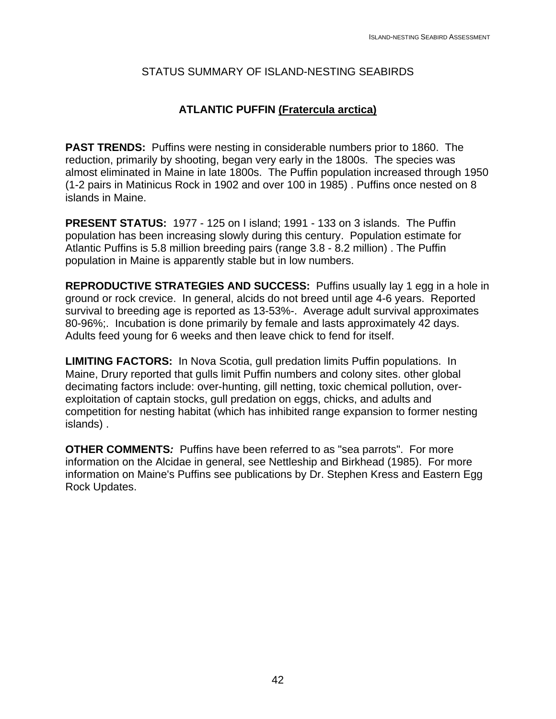# **ATLANTIC PUFFIN (Fratercula arctica)**

**PAST TRENDS:** Puffins were nesting in considerable numbers prior to 1860. The reduction, primarily by shooting, began very early in the 1800s. The species was almost eliminated in Maine in late 1800s. The Puffin population increased through 1950 (1-2 pairs in Matinicus Rock in 1902 and over 100 in 1985) . Puffins once nested on 8 islands in Maine.

**PRESENT STATUS:** 1977 - 125 on I island; 1991 - 133 on 3 islands. The Puffin population has been increasing slowly during this century. Population estimate for Atlantic Puffins is 5.8 million breeding pairs (range 3.8 - 8.2 million) . The Puffin population in Maine is apparently stable but in low numbers.

**REPRODUCTIVE STRATEGIES AND SUCCESS:** Puffins usually lay 1 egg in a hole in ground or rock crevice. In general, alcids do not breed until age 4-6 years. Reported survival to breeding age is reported as 13-53%-. Average adult survival approximates 80-96%;. Incubation is done primarily by female and lasts approximately 42 days. Adults feed young for 6 weeks and then leave chick to fend for itself.

**LIMITING FACTORS:** In Nova Scotia, gull predation limits Puffin populations. In Maine, Drury reported that gulls limit Puffin numbers and colony sites. other global decimating factors include: over-hunting, gill netting, toxic chemical pollution, overexploitation of captain stocks, gull predation on eggs, chicks, and adults and competition for nesting habitat (which has inhibited range expansion to former nesting islands) .

**OTHER COMMENTS***:* Puffins have been referred to as "sea parrots". For more information on the Alcidae in general, see Nettleship and Birkhead (1985). For more information on Maine's Puffins see publications by Dr. Stephen Kress and Eastern Egg Rock Updates.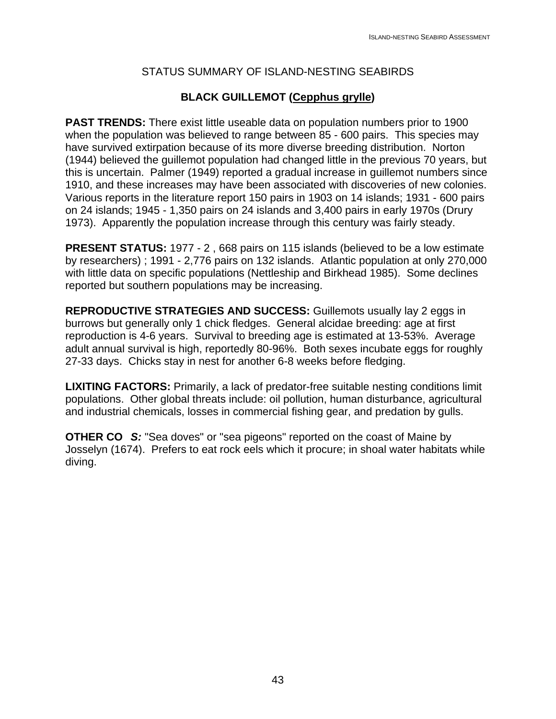# **BLACK GUILLEMOT (Cepphus grylle)**

**PAST TRENDS:** There exist little useable data on population numbers prior to 1900 when the population was believed to range between 85 - 600 pairs. This species may have survived extirpation because of its more diverse breeding distribution. Norton (1944) believed the guillemot population had changed little in the previous 70 years, but this is uncertain. Palmer (1949) reported a gradual increase in guillemot numbers since 1910, and these increases may have been associated with discoveries of new colonies. Various reports in the literature report 150 pairs in 1903 on 14 islands; 1931 - 600 pairs on 24 islands; 1945 - 1,350 pairs on 24 islands and 3,400 pairs in early 1970s (Drury 1973). Apparently the population increase through this century was fairly steady.

**PRESENT STATUS:** 1977 - 2 , 668 pairs on 115 islands (believed to be a low estimate by researchers) ; 1991 - 2,776 pairs on 132 islands. Atlantic population at only 270,000 with little data on specific populations (Nettleship and Birkhead 1985). Some declines reported but southern populations may be increasing.

**REPRODUCTIVE STRATEGIES AND SUCCESS:** Guillemots usually lay 2 eggs in burrows but generally only 1 chick fledges. General alcidae breeding: age at first reproduction is 4-6 years. Survival to breeding age is estimated at 13-53%. Average adult annual survival is high, reportedly 80-96%. Both sexes incubate eggs for roughly 27-33 days. Chicks stay in nest for another 6-8 weeks before fledging.

**LIXITING FACTORS:** Primarily, a lack of predator-free suitable nesting conditions limit populations. Other global threats include: oil pollution, human disturbance, agricultural and industrial chemicals, losses in commercial fishing gear, and predation by gulls.

**OTHER CO** *S:* "Sea doves" or "sea pigeons" reported on the coast of Maine by Josselyn (1674). Prefers to eat rock eels which it procure; in shoal water habitats while diving.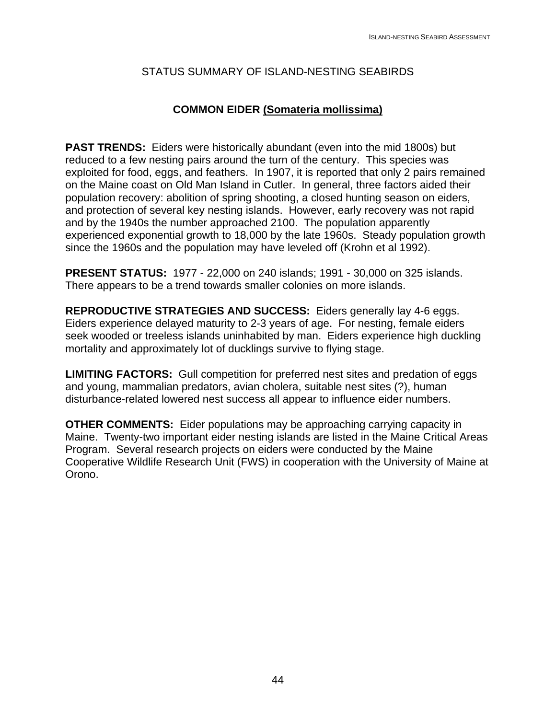### **COMMON EIDER (Somateria mollissima)**

**PAST TRENDS:** Eiders were historically abundant (even into the mid 1800s) but reduced to a few nesting pairs around the turn of the century. This species was exploited for food, eggs, and feathers. In 1907, it is reported that only 2 pairs remained on the Maine coast on Old Man Island in Cutler. In general, three factors aided their population recovery: abolition of spring shooting, a closed hunting season on eiders, and protection of several key nesting islands. However, early recovery was not rapid and by the 1940s the number approached 2100. The population apparently experienced exponential growth to 18,000 by the late 1960s. Steady population growth since the 1960s and the population may have leveled off (Krohn et al 1992).

**PRESENT STATUS:** 1977 - 22,000 on 240 islands; 1991 - 30,000 on 325 islands. There appears to be a trend towards smaller colonies on more islands.

**REPRODUCTIVE STRATEGIES AND SUCCESS:** Eiders generally lay 4-6 eggs. Eiders experience delayed maturity to 2-3 years of age. For nesting, female eiders seek wooded or treeless islands uninhabited by man. Eiders experience high duckling mortality and approximately lot of ducklings survive to flying stage.

**LIMITING FACTORS:** Gull competition for preferred nest sites and predation of eggs and young, mammalian predators, avian cholera, suitable nest sites (?), human disturbance-related lowered nest success all appear to influence eider numbers.

**OTHER COMMENTS:** Eider populations may be approaching carrying capacity in Maine. Twenty-two important eider nesting islands are listed in the Maine Critical Areas Program. Several research projects on eiders were conducted by the Maine Cooperative Wildlife Research Unit (FWS) in cooperation with the University of Maine at Orono.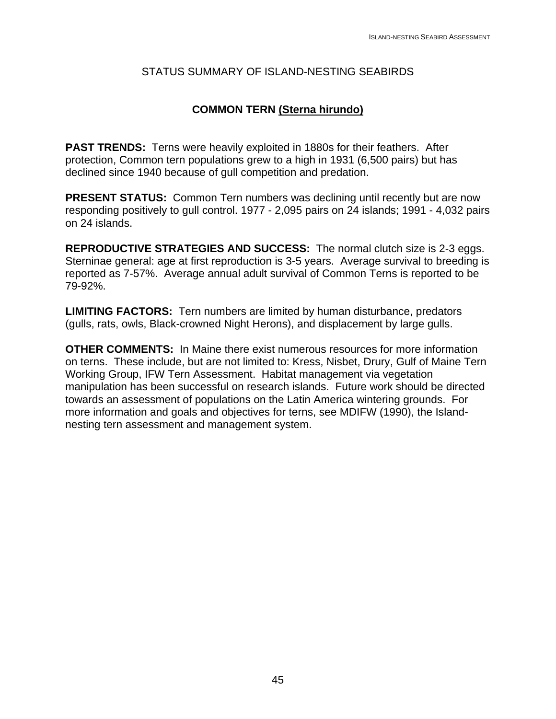### **COMMON TERN (Sterna hirundo)**

**PAST TRENDS:** Terns were heavily exploited in 1880s for their feathers. After protection, Common tern populations grew to a high in 1931 (6,500 pairs) but has declined since 1940 because of gull competition and predation.

**PRESENT STATUS:** Common Tern numbers was declining until recently but are now responding positively to gull control. 1977 - 2,095 pairs on 24 islands; 1991 - 4,032 pairs on 24 islands.

**REPRODUCTIVE STRATEGIES AND SUCCESS:** The normal clutch size is 2-3 eggs. Sterninae general: age at first reproduction is 3-5 years. Average survival to breeding is reported as 7-57%. Average annual adult survival of Common Terns is reported to be 79-92%.

**LIMITING FACTORS:** Tern numbers are limited by human disturbance, predators (gulls, rats, owls, Black-crowned Night Herons), and displacement by large gulls.

**OTHER COMMENTS:** In Maine there exist numerous resources for more information on terns. These include, but are not limited to: Kress, Nisbet, Drury, Gulf of Maine Tern Working Group, IFW Tern Assessment. Habitat management via vegetation manipulation has been successful on research islands. Future work should be directed towards an assessment of populations on the Latin America wintering grounds. For more information and goals and objectives for terns, see MDIFW (1990), the Islandnesting tern assessment and management system.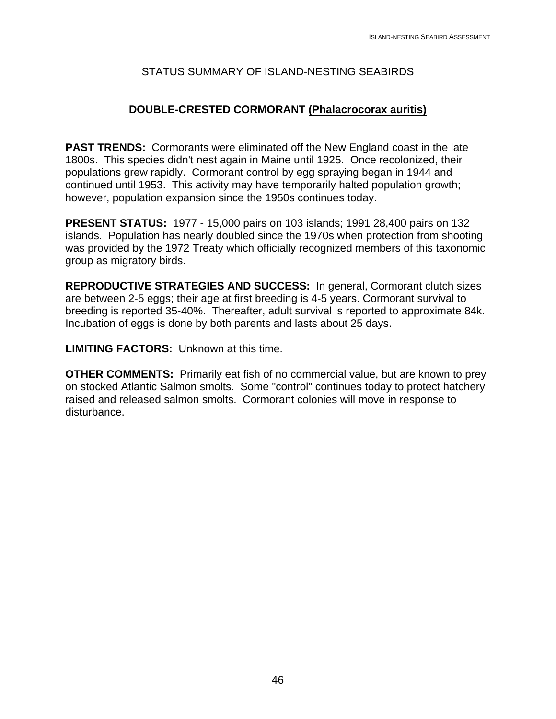### **DOUBLE-CRESTED CORMORANT (Phalacrocorax auritis)**

**PAST TRENDS:** Cormorants were eliminated off the New England coast in the late 1800s. This species didn't nest again in Maine until 1925. Once recolonized, their populations grew rapidly. Cormorant control by egg spraying began in 1944 and continued until 1953. This activity may have temporarily halted population growth; however, population expansion since the 1950s continues today.

**PRESENT STATUS:** 1977 - 15,000 pairs on 103 islands; 1991 28,400 pairs on 132 islands. Population has nearly doubled since the 1970s when protection from shooting was provided by the 1972 Treaty which officially recognized members of this taxonomic group as migratory birds.

**REPRODUCTIVE STRATEGIES AND SUCCESS:** In general, Cormorant clutch sizes are between 2-5 eggs; their age at first breeding is 4-5 years. Cormorant survival to breeding is reported 35-40%. Thereafter, adult survival is reported to approximate 84k. Incubation of eggs is done by both parents and lasts about 25 days.

**LIMITING FACTORS:** Unknown at this time.

**OTHER COMMENTS:** Primarily eat fish of no commercial value, but are known to prey on stocked Atlantic Salmon smolts. Some "control" continues today to protect hatchery raised and released salmon smolts. Cormorant colonies will move in response to disturbance.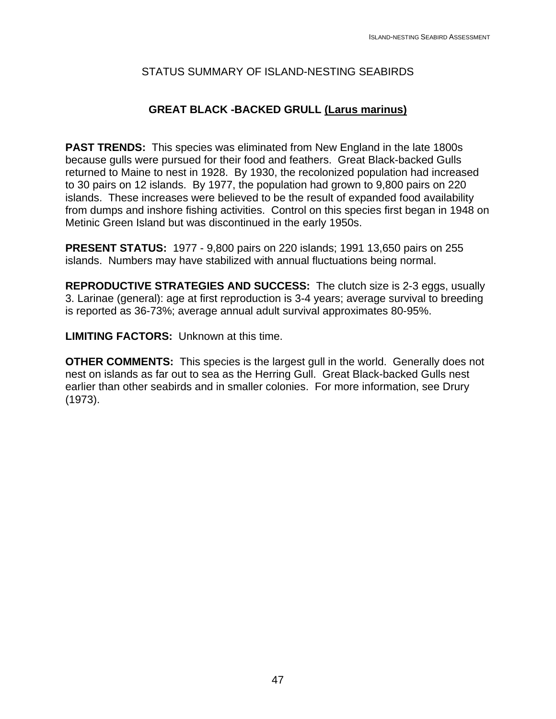# **GREAT BLACK -BACKED GRULL (Larus marinus)**

**PAST TRENDS:** This species was eliminated from New England in the late 1800s because gulls were pursued for their food and feathers. Great Black-backed Gulls returned to Maine to nest in 1928. By 1930, the recolonized population had increased to 30 pairs on 12 islands. By 1977, the population had grown to 9,800 pairs on 220 islands. These increases were believed to be the result of expanded food availability from dumps and inshore fishing activities. Control on this species first began in 1948 on Metinic Green Island but was discontinued in the early 1950s.

**PRESENT STATUS:** 1977 - 9,800 pairs on 220 islands; 1991 13,650 pairs on 255 islands. Numbers may have stabilized with annual fluctuations being normal.

**REPRODUCTIVE STRATEGIES AND SUCCESS:** The clutch size is 2-3 eggs, usually 3. Larinae (general): age at first reproduction is 3-4 years; average survival to breeding is reported as 36-73%; average annual adult survival approximates 80-95%.

**LIMITING FACTORS:** Unknown at this time.

**OTHER COMMENTS:** This species is the largest gull in the world. Generally does not nest on islands as far out to sea as the Herring Gull. Great Black-backed Gulls nest earlier than other seabirds and in smaller colonies. For more information, see Drury (1973).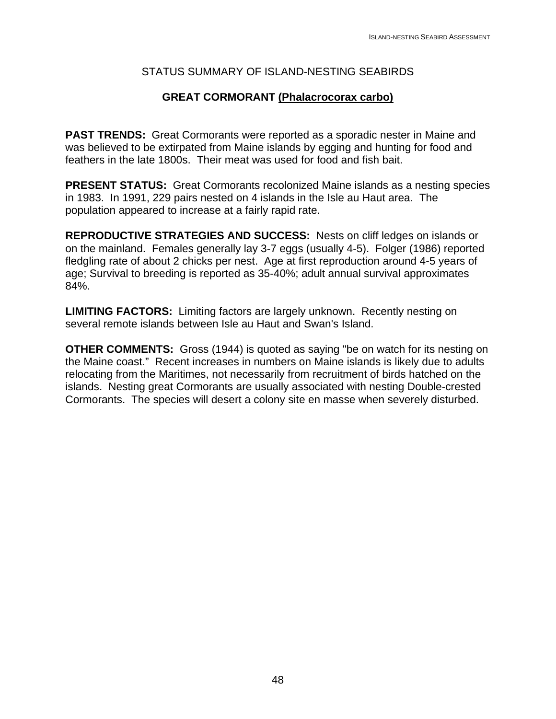### **GREAT CORMORANT (Phalacrocorax carbo)**

**PAST TRENDS:** Great Cormorants were reported as a sporadic nester in Maine and was believed to be extirpated from Maine islands by egging and hunting for food and feathers in the late 1800s. Their meat was used for food and fish bait.

**PRESENT STATUS:** Great Cormorants recolonized Maine islands as a nesting species in 1983. In 1991, 229 pairs nested on 4 islands in the Isle au Haut area. The population appeared to increase at a fairly rapid rate.

**REPRODUCTIVE STRATEGIES AND SUCCESS:** Nests on cliff ledges on islands or on the mainland. Females generally lay 3-7 eggs (usually 4-5). Folger (1986) reported fledgling rate of about 2 chicks per nest. Age at first reproduction around 4-5 years of age; Survival to breeding is reported as 35-40%; adult annual survival approximates 84%.

**LIMITING FACTORS:** Limiting factors are largely unknown. Recently nesting on several remote islands between Isle au Haut and Swan's Island.

**OTHER COMMENTS:** Gross (1944) is quoted as saying "be on watch for its nesting on the Maine coast." Recent increases in numbers on Maine islands is likely due to adults relocating from the Maritimes, not necessarily from recruitment of birds hatched on the islands. Nesting great Cormorants are usually associated with nesting Double-crested Cormorants. The species will desert a colony site en masse when severely disturbed.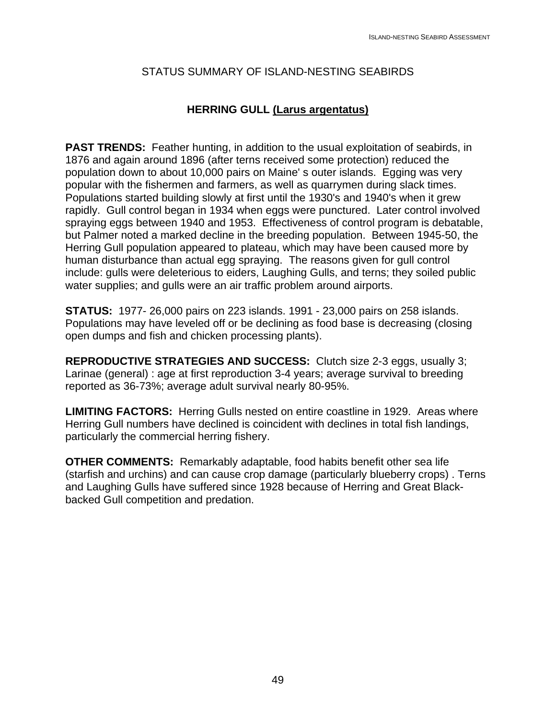### **HERRING GULL (Larus argentatus)**

**PAST TRENDS:** Feather hunting, in addition to the usual exploitation of seabirds, in 1876 and again around 1896 (after terns received some protection) reduced the population down to about 10,000 pairs on Maine' s outer islands. Egging was very popular with the fishermen and farmers, as well as quarrymen during slack times. Populations started building slowly at first until the 1930's and 1940's when it grew rapidly. Gull control began in 1934 when eggs were punctured. Later control involved spraying eggs between 1940 and 1953. Effectiveness of control program is debatable, but Palmer noted a marked decline in the breeding population. Between 1945-50, the Herring Gull population appeared to plateau, which may have been caused more by human disturbance than actual egg spraying. The reasons given for gull control include: gulls were deleterious to eiders, Laughing Gulls, and terns; they soiled public water supplies; and gulls were an air traffic problem around airports.

**STATUS:** 1977- 26,000 pairs on 223 islands. 1991 - 23,000 pairs on 258 islands. Populations may have leveled off or be declining as food base is decreasing (closing open dumps and fish and chicken processing plants).

**REPRODUCTIVE STRATEGIES AND SUCCESS:** Clutch size 2-3 eggs, usually 3; Larinae (general) : age at first reproduction 3-4 years; average survival to breeding reported as 36-73%; average adult survival nearly 80-95%.

**LIMITING FACTORS:** Herring Gulls nested on entire coastline in 1929. Areas where Herring Gull numbers have declined is coincident with declines in total fish landings, particularly the commercial herring fishery.

**OTHER COMMENTS:** Remarkably adaptable, food habits benefit other sea life (starfish and urchins) and can cause crop damage (particularly blueberry crops) . Terns and Laughing Gulls have suffered since 1928 because of Herring and Great Blackbacked Gull competition and predation.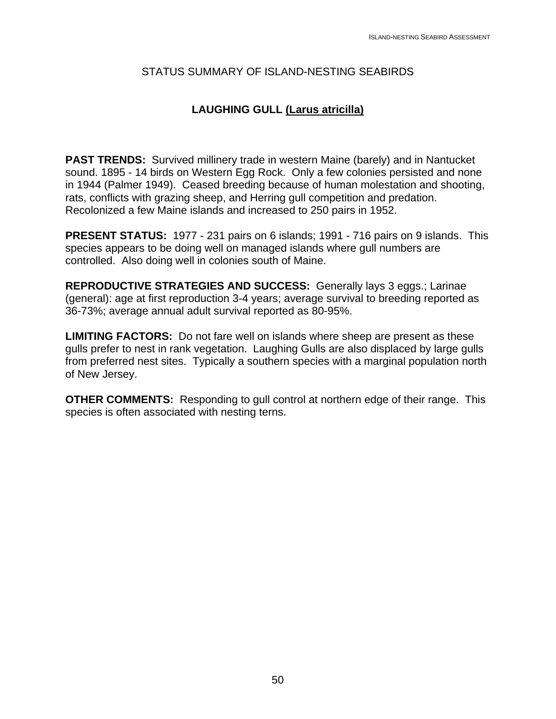# **LAUGHING GULL (Larus atricilla)**

**PAST TRENDS:** Survived millinery trade in western Maine (barely) and in Nantucket sound. 1895 - 14 birds on Western Egg Rock. Only a few colonies persisted and none in 1944 (Palmer 1949). Ceased breeding because of human molestation and shooting, rats, conflicts with grazing sheep, and Herring gull competition and predation. Recolonized a few Maine islands and increased to 250 pairs in 1952.

**PRESENT STATUS:** 1977 - 231 pairs on 6 islands; 1991 - 716 pairs on 9 islands. This species appears to be doing well on managed islands where gull numbers are controlled. Also doing well in colonies south of Maine.

**REPRODUCTIVE STRATEGIES AND SUCCESS:** Generally lays 3 eggs.; Larinae (general): age at first reproduction 3-4 years; average survival to breeding reported as 36-73%; average annual adult survival reported as 80-95%.

**LIMITING FACTORS:** Do not fare well on islands where sheep are present as these gulls prefer to nest in rank vegetation. Laughing Gulls are also displaced by large gulls from preferred nest sites. Typically a southern species with a marginal population north of New Jersey.

**OTHER COMMENTS:** Responding to gull control at northern edge of their range. This species is often associated with nesting terns.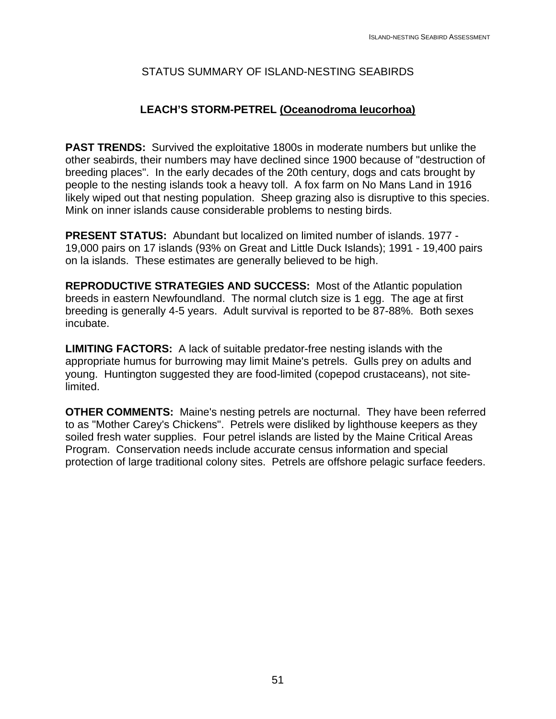# **LEACH'S STORM-PETREL (Oceanodroma leucorhoa)**

**PAST TRENDS:** Survived the exploitative 1800s in moderate numbers but unlike the other seabirds, their numbers may have declined since 1900 because of "destruction of breeding places". In the early decades of the 20th century, dogs and cats brought by people to the nesting islands took a heavy toll. A fox farm on No Mans Land in 1916 likely wiped out that nesting population. Sheep grazing also is disruptive to this species. Mink on inner islands cause considerable problems to nesting birds.

**PRESENT STATUS:** Abundant but localized on limited number of islands. 1977 - 19,000 pairs on 17 islands (93% on Great and Little Duck Islands); 1991 - 19,400 pairs on la islands. These estimates are generally believed to be high.

**REPRODUCTIVE STRATEGIES AND SUCCESS:** Most of the Atlantic population breeds in eastern Newfoundland. The normal clutch size is 1 egg. The age at first breeding is generally 4-5 years. Adult survival is reported to be 87-88%. Both sexes incubate.

**LIMITING FACTORS:** A lack of suitable predator-free nesting islands with the appropriate humus for burrowing may limit Maine's petrels. Gulls prey on adults and young. Huntington suggested they are food-limited (copepod crustaceans), not sitelimited.

**OTHER COMMENTS:** Maine's nesting petrels are nocturnal. They have been referred to as "Mother Carey's Chickens". Petrels were disliked by lighthouse keepers as they soiled fresh water supplies. Four petrel islands are listed by the Maine Critical Areas Program. Conservation needs include accurate census information and special protection of large traditional colony sites. Petrels are offshore pelagic surface feeders.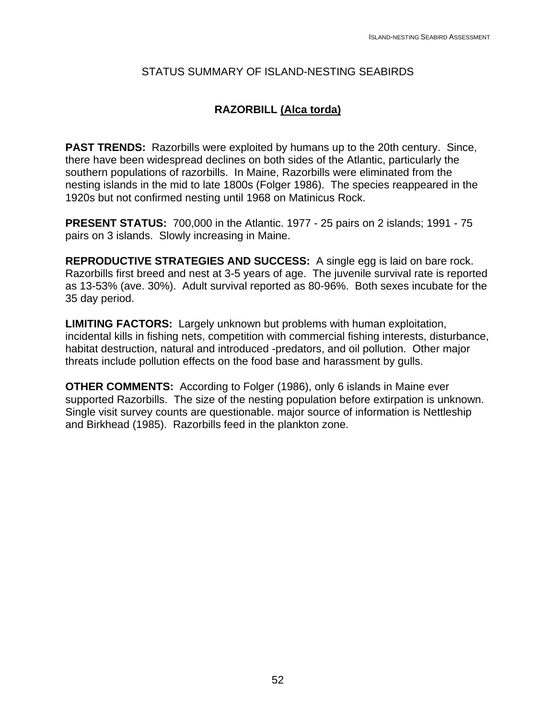### **RAZORBILL (Alca torda)**

**PAST TRENDS:** Razorbills were exploited by humans up to the 20th century. Since, there have been widespread declines on both sides of the Atlantic, particularly the southern populations of razorbills. In Maine, Razorbills were eliminated from the nesting islands in the mid to late 1800s (Folger 1986). The species reappeared in the 1920s but not confirmed nesting until 1968 on Matinicus Rock.

**PRESENT STATUS:** 700,000 in the Atlantic. 1977 - 25 pairs on 2 islands; 1991 - 75 pairs on 3 islands. Slowly increasing in Maine.

**REPRODUCTIVE STRATEGIES AND SUCCESS:** A single egg is laid on bare rock. Razorbills first breed and nest at 3-5 years of age. The juvenile survival rate is reported as 13-53% (ave. 30%). Adult survival reported as 80-96%. Both sexes incubate for the 35 day period.

**LIMITING FACTORS:** Largely unknown but problems with human exploitation, incidental kills in fishing nets, competition with commercial fishing interests, disturbance, habitat destruction, natural and introduced -predators, and oil pollution. Other major threats include pollution effects on the food base and harassment by gulls.

**OTHER COMMENTS:** According to Folger (1986), only 6 islands in Maine ever supported Razorbills. The size of the nesting population before extirpation is unknown. Single visit survey counts are questionable. major source of information is Nettleship and Birkhead (1985). Razorbills feed in the plankton zone.